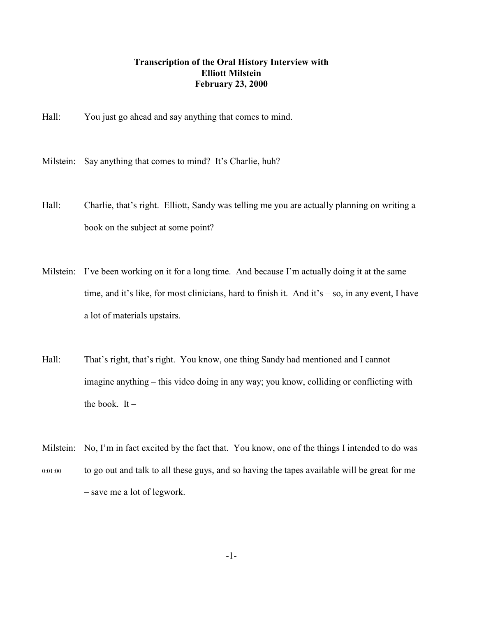## **Transcription of the Oral History Interview with Elliott Milstein February 23, 2000**

Hall: You just go ahead and say anything that comes to mind.

Milstein: Say anything that comes to mind? It's Charlie, huh?

- Hall: Charlie, that's right. Elliott, Sandy was telling me you are actually planning on writing a book on the subject at some point?
- Milstein: I've been working on it for a long time. And because I'm actually doing it at the same time, and it's like, for most clinicians, hard to finish it. And it's – so, in any event, I have a lot of materials upstairs.
- Hall: That's right, that's right. You know, one thing Sandy had mentioned and I cannot imagine anything – this video doing in any way; you know, colliding or conflicting with the book. It  $-$
- Milstein: No, I'm in fact excited by the fact that. You know, one of the things I intended to do was 0:01:00 to go out and talk to all these guys, and so having the tapes available will be great for me – save me a lot of legwork.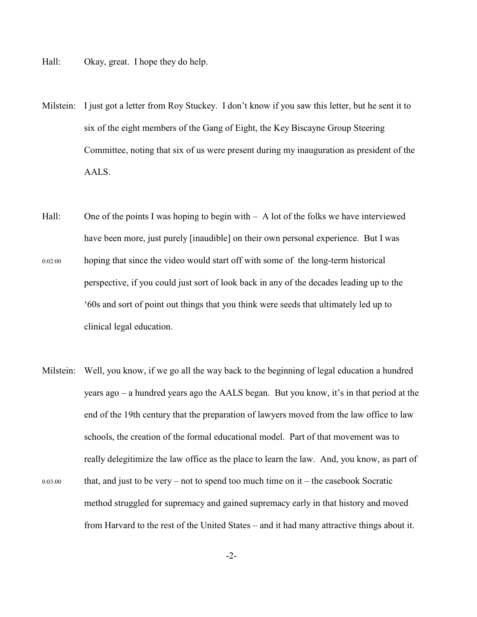- Hall: Okay, great. I hope they do help.
- Milstein: I just got a letter from Roy Stuckey. I don't know if you saw this letter, but he sent it to six of the eight members of the Gang of Eight, the Key Biscayne Group Steering Committee, noting that six of us were present during my inauguration as president of the AALS.
- Hall: One of the points I was hoping to begin with A lot of the folks we have interviewed have been more, just purely [inaudible] on their own personal experience. But I was
- 0:02:00 hoping that since the video would start off with some of the long-term historical perspective, if you could just sort of look back in any of the decades leading up to the '60s and sort of point out things that you think were seeds that ultimately led up to clinical legal education.
- Milstein: Well, you know, if we go all the way back to the beginning of legal education a hundred years ago – a hundred years ago the AALS began. But you know, it's in that period at the end of the 19th century that the preparation of lawyers moved from the law office to law schools, the creation of the formal educational model. Part of that movement was to really delegitimize the law office as the place to learn the law. And, you know, as part of  $0:03:00$  that, and just to be very – not to spend too much time on it – the casebook Socratic method struggled for supremacy and gained supremacy early in that history and moved from Harvard to the rest of the United States – and it had many attractive things about it.

-2-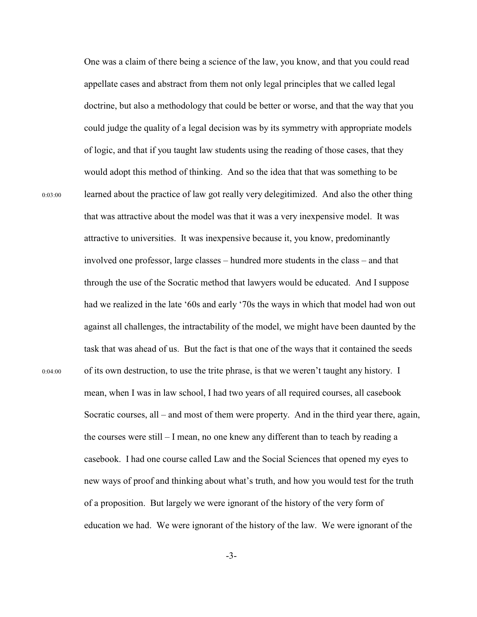One was a claim of there being a science of the law, you know, and that you could read appellate cases and abstract from them not only legal principles that we called legal doctrine, but also a methodology that could be better or worse, and that the way that you could judge the quality of a legal decision was by its symmetry with appropriate models of logic, and that if you taught law students using the reading of those cases, that they would adopt this method of thinking. And so the idea that that was something to be 0:03:00 learned about the practice of law got really very delegitimized. And also the other thing that was attractive about the model was that it was a very inexpensive model. It was attractive to universities. It was inexpensive because it, you know, predominantly involved one professor, large classes – hundred more students in the class – and that through the use of the Socratic method that lawyers would be educated. And I suppose had we realized in the late '60s and early '70s the ways in which that model had won out against all challenges, the intractability of the model, we might have been daunted by the task that was ahead of us. But the fact is that one of the ways that it contained the seeds 0:04:00 of its own destruction, to use the trite phrase, is that we weren't taught any history. I mean, when I was in law school, I had two years of all required courses, all casebook Socratic courses, all – and most of them were property. And in the third year there, again, the courses were still – I mean, no one knew any different than to teach by reading a casebook. I had one course called Law and the Social Sciences that opened my eyes to new ways of proof and thinking about what's truth, and how you would test for the truth of a proposition. But largely we were ignorant of the history of the very form of education we had. We were ignorant of the history of the law. We were ignorant of the

-3-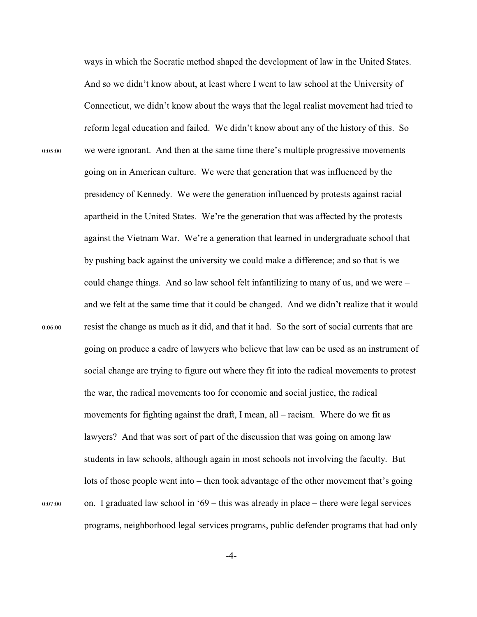ways in which the Socratic method shaped the development of law in the United States. And so we didn't know about, at least where I went to law school at the University of Connecticut, we didn't know about the ways that the legal realist movement had tried to reform legal education and failed. We didn't know about any of the history of this. So 0:05:00 we were ignorant. And then at the same time there's multiple progressive movements going on in American culture. We were that generation that was influenced by the presidency of Kennedy. We were the generation influenced by protests against racial apartheid in the United States. We're the generation that was affected by the protests against the Vietnam War. We're a generation that learned in undergraduate school that by pushing back against the university we could make a difference; and so that is we could change things. And so law school felt infantilizing to many of us, and we were – and we felt at the same time that it could be changed. And we didn't realize that it would 0:06:00 resist the change as much as it did, and that it had. So the sort of social currents that are going on produce a cadre of lawyers who believe that law can be used as an instrument of social change are trying to figure out where they fit into the radical movements to protest the war, the radical movements too for economic and social justice, the radical movements for fighting against the draft, I mean, all – racism. Where do we fit as lawyers? And that was sort of part of the discussion that was going on among law students in law schools, although again in most schools not involving the faculty. But lots of those people went into – then took advantage of the other movement that's going 0:07:00 on. I graduated law school in '69 – this was already in place – there were legal services programs, neighborhood legal services programs, public defender programs that had only

-4-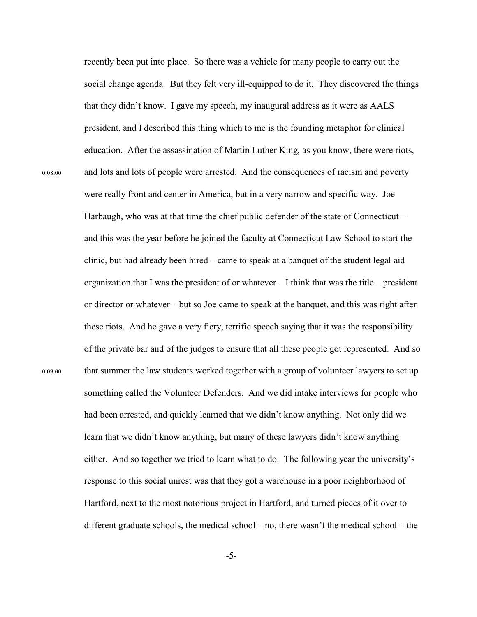recently been put into place. So there was a vehicle for many people to carry out the social change agenda. But they felt very ill-equipped to do it. They discovered the things that they didn't know. I gave my speech, my inaugural address as it were as AALS president, and I described this thing which to me is the founding metaphor for clinical education. After the assassination of Martin Luther King, as you know, there were riots, 0:08:00 and lots and lots of people were arrested. And the consequences of racism and poverty were really front and center in America, but in a very narrow and specific way. Joe Harbaugh, who was at that time the chief public defender of the state of Connecticut – and this was the year before he joined the faculty at Connecticut Law School to start the clinic, but had already been hired – came to speak at a banquet of the student legal aid organization that I was the president of or whatever – I think that was the title – president or director or whatever – but so Joe came to speak at the banquet, and this was right after these riots. And he gave a very fiery, terrific speech saying that it was the responsibility of the private bar and of the judges to ensure that all these people got represented. And so 0:09:00 that summer the law students worked together with a group of volunteer lawyers to set up something called the Volunteer Defenders. And we did intake interviews for people who had been arrested, and quickly learned that we didn't know anything. Not only did we learn that we didn't know anything, but many of these lawyers didn't know anything either. And so together we tried to learn what to do. The following year the university's response to this social unrest was that they got a warehouse in a poor neighborhood of Hartford, next to the most notorious project in Hartford, and turned pieces of it over to different graduate schools, the medical school – no, there wasn't the medical school – the

-5-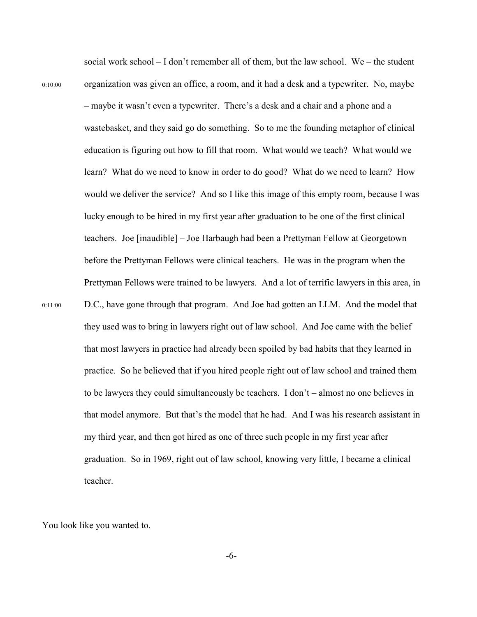social work school – I don't remember all of them, but the law school. We – the student 0:10:00 organization was given an office, a room, and it had a desk and a typewriter. No, maybe – maybe it wasn't even a typewriter. There's a desk and a chair and a phone and a wastebasket, and they said go do something. So to me the founding metaphor of clinical education is figuring out how to fill that room. What would we teach? What would we learn? What do we need to know in order to do good? What do we need to learn? How would we deliver the service? And so I like this image of this empty room, because I was lucky enough to be hired in my first year after graduation to be one of the first clinical teachers. Joe [inaudible] – Joe Harbaugh had been a Prettyman Fellow at Georgetown before the Prettyman Fellows were clinical teachers. He was in the program when the Prettyman Fellows were trained to be lawyers. And a lot of terrific lawyers in this area, in 0:11:00 D.C., have gone through that program. And Joe had gotten an LLM. And the model that they used was to bring in lawyers right out of law school. And Joe came with the belief that most lawyers in practice had already been spoiled by bad habits that they learned in practice. So he believed that if you hired people right out of law school and trained them to be lawyers they could simultaneously be teachers. I don't – almost no one believes in that model anymore. But that's the model that he had. And I was his research assistant in my third year, and then got hired as one of three such people in my first year after graduation. So in 1969, right out of law school, knowing very little, I became a clinical teacher.

You look like you wanted to.

-6-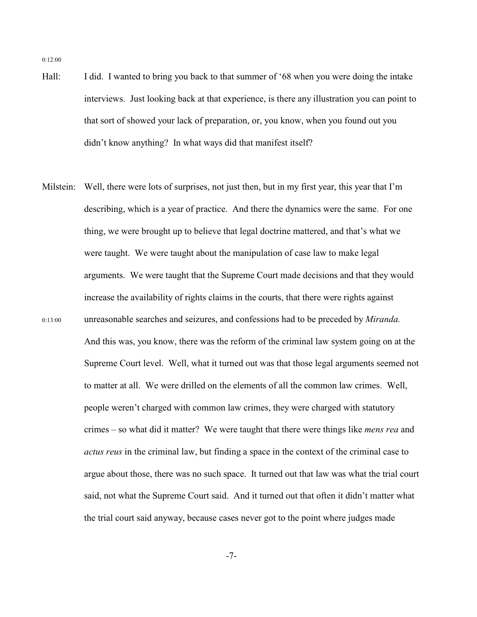- Hall: I did. I wanted to bring you back to that summer of '68 when you were doing the intake interviews. Just looking back at that experience, is there any illustration you can point to that sort of showed your lack of preparation, or, you know, when you found out you didn't know anything? In what ways did that manifest itself?
- Milstein: Well, there were lots of surprises, not just then, but in my first year, this year that I'm describing, which is a year of practice. And there the dynamics were the same. For one thing, we were brought up to believe that legal doctrine mattered, and that's what we were taught. We were taught about the manipulation of case law to make legal arguments. We were taught that the Supreme Court made decisions and that they would increase the availability of rights claims in the courts, that there were rights against 0:13:00 unreasonable searches and seizures, and confessions had to be preceded by *Miranda.*  And this was, you know, there was the reform of the criminal law system going on at the Supreme Court level. Well, what it turned out was that those legal arguments seemed not to matter at all. We were drilled on the elements of all the common law crimes. Well, people weren't charged with common law crimes, they were charged with statutory crimes – so what did it matter? We were taught that there were things like *mens rea* and *actus reus* in the criminal law, but finding a space in the context of the criminal case to argue about those, there was no such space. It turned out that law was what the trial court said, not what the Supreme Court said. And it turned out that often it didn't matter what the trial court said anyway, because cases never got to the point where judges made

-7-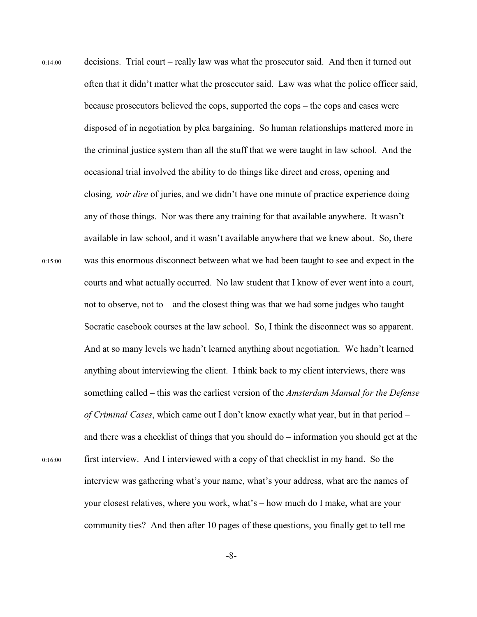0:14:00 decisions. Trial court – really law was what the prosecutor said. And then it turned out often that it didn't matter what the prosecutor said. Law was what the police officer said, because prosecutors believed the cops, supported the cops – the cops and cases were disposed of in negotiation by plea bargaining. So human relationships mattered more in the criminal justice system than all the stuff that we were taught in law school. And the occasional trial involved the ability to do things like direct and cross, opening and closing*, voir dire* of juries, and we didn't have one minute of practice experience doing any of those things. Nor was there any training for that available anywhere. It wasn't available in law school, and it wasn't available anywhere that we knew about. So, there 0:15:00 was this enormous disconnect between what we had been taught to see and expect in the courts and what actually occurred. No law student that I know of ever went into a court, not to observe, not to – and the closest thing was that we had some judges who taught Socratic casebook courses at the law school. So, I think the disconnect was so apparent. And at so many levels we hadn't learned anything about negotiation. We hadn't learned anything about interviewing the client. I think back to my client interviews, there was something called – this was the earliest version of the *Amsterdam Manual for the Defense of Criminal Cases*, which came out I don't know exactly what year, but in that period – and there was a checklist of things that you should do – information you should get at the 0:16:00 first interview. And I interviewed with a copy of that checklist in my hand. So the interview was gathering what's your name, what's your address, what are the names of your closest relatives, where you work, what's – how much do I make, what are your community ties? And then after 10 pages of these questions, you finally get to tell me

-8-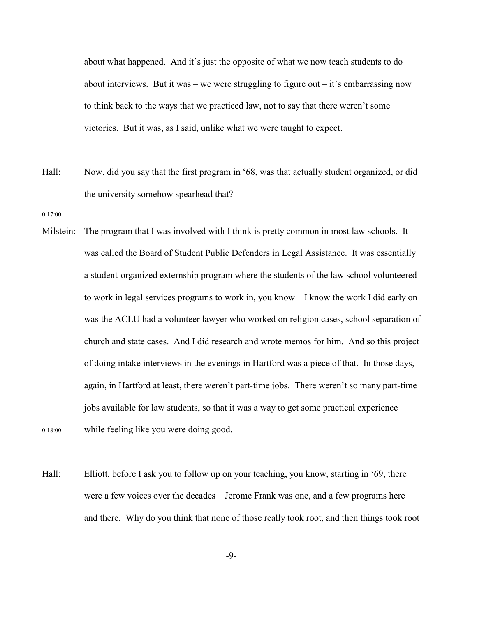about what happened. And it's just the opposite of what we now teach students to do about interviews. But it was – we were struggling to figure out – it's embarrassing now to think back to the ways that we practiced law, not to say that there weren't some victories. But it was, as I said, unlike what we were taught to expect.

- Hall: Now, did you say that the first program in '68, was that actually student organized, or did the university somehow spearhead that?
- 0:17:00
- Milstein: The program that I was involved with I think is pretty common in most law schools. It was called the Board of Student Public Defenders in Legal Assistance. It was essentially a student-organized externship program where the students of the law school volunteered to work in legal services programs to work in, you know – I know the work I did early on was the ACLU had a volunteer lawyer who worked on religion cases, school separation of church and state cases. And I did research and wrote memos for him. And so this project of doing intake interviews in the evenings in Hartford was a piece of that. In those days, again, in Hartford at least, there weren't part-time jobs. There weren't so many part-time jobs available for law students, so that it was a way to get some practical experience 0:18:00 while feeling like you were doing good.
- Hall: Elliott, before I ask you to follow up on your teaching, you know, starting in '69, there were a few voices over the decades – Jerome Frank was one, and a few programs here and there. Why do you think that none of those really took root, and then things took root
	- -9-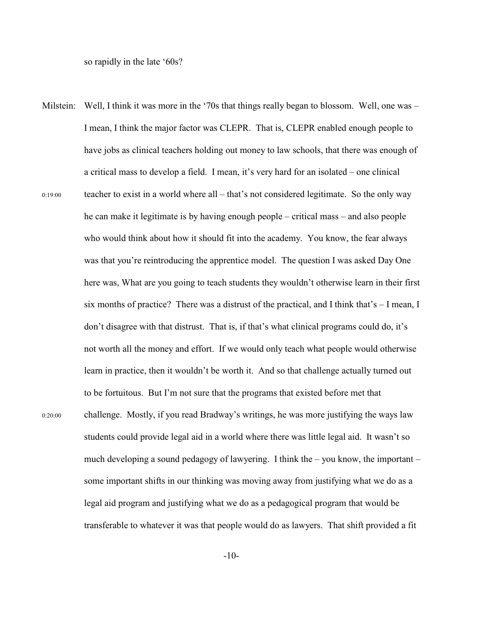so rapidly in the late '60s?

Milstein: Well, I think it was more in the '70s that things really began to blossom. Well, one was – I mean, I think the major factor was CLEPR. That is, CLEPR enabled enough people to have jobs as clinical teachers holding out money to law schools, that there was enough of a critical mass to develop a field. I mean, it's very hard for an isolated – one clinical  $0:19:00$  teacher to exist in a world where all – that's not considered legitimate. So the only way he can make it legitimate is by having enough people – critical mass – and also people who would think about how it should fit into the academy. You know, the fear always was that you're reintroducing the apprentice model. The question I was asked Day One here was, What are you going to teach students they wouldn't otherwise learn in their first six months of practice? There was a distrust of the practical, and I think that's  $-$  I mean, I don't disagree with that distrust. That is, if that's what clinical programs could do, it's not worth all the money and effort. If we would only teach what people would otherwise learn in practice, then it wouldn't be worth it. And so that challenge actually turned out to be fortuitous. But I'm not sure that the programs that existed before met that 0:20:00 challenge. Mostly, if you read Bradway's writings, he was more justifying the ways law students could provide legal aid in a world where there was little legal aid. It wasn't so much developing a sound pedagogy of lawyering. I think the – you know, the important – some important shifts in our thinking was moving away from justifying what we do as a legal aid program and justifying what we do as a pedagogical program that would be transferable to whatever it was that people would do as lawyers. That shift provided a fit

-10-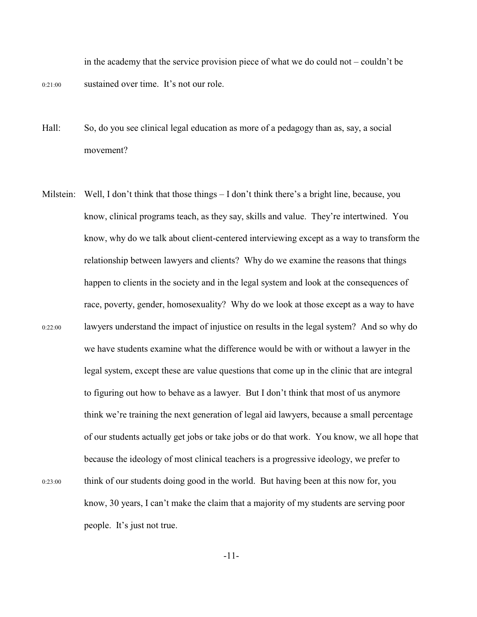in the academy that the service provision piece of what we do could not – couldn't be 0:21:00 sustained over time. It's not our role.

- Hall: So, do you see clinical legal education as more of a pedagogy than as, say, a social movement?
- Milstein: Well, I don't think that those things  $-I$  don't think there's a bright line, because, you know, clinical programs teach, as they say, skills and value. They're intertwined. You know, why do we talk about client-centered interviewing except as a way to transform the relationship between lawyers and clients? Why do we examine the reasons that things happen to clients in the society and in the legal system and look at the consequences of race, poverty, gender, homosexuality? Why do we look at those except as a way to have 0:22:00 lawyers understand the impact of injustice on results in the legal system? And so why do we have students examine what the difference would be with or without a lawyer in the legal system, except these are value questions that come up in the clinic that are integral to figuring out how to behave as a lawyer. But I don't think that most of us anymore think we're training the next generation of legal aid lawyers, because a small percentage of our students actually get jobs or take jobs or do that work. You know, we all hope that because the ideology of most clinical teachers is a progressive ideology, we prefer to 0:23:00 think of our students doing good in the world. But having been at this now for, you know, 30 years, I can't make the claim that a majority of my students are serving poor people. It's just not true.

-11-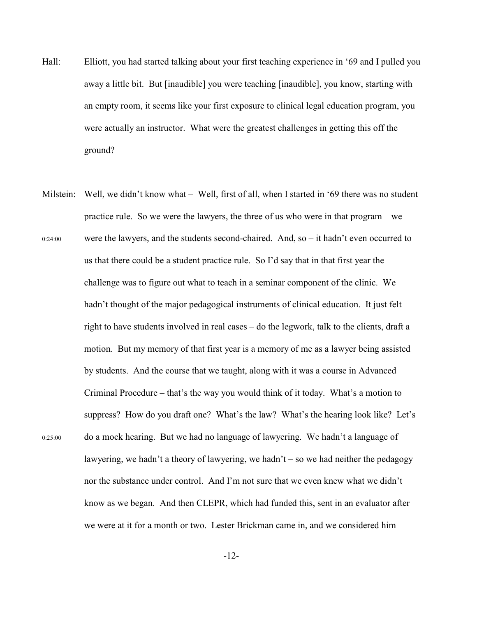- Hall: Elliott, you had started talking about your first teaching experience in '69 and I pulled you away a little bit. But [inaudible] you were teaching [inaudible], you know, starting with an empty room, it seems like your first exposure to clinical legal education program, you were actually an instructor. What were the greatest challenges in getting this off the ground?
- Milstein: Well, we didn't know what Well, first of all, when I started in '69 there was no student practice rule. So we were the lawyers, the three of us who were in that program – we  $0.24:00$  were the lawyers, and the students second-chaired. And, so – it hadn't even occurred to us that there could be a student practice rule. So I'd say that in that first year the challenge was to figure out what to teach in a seminar component of the clinic. We hadn't thought of the major pedagogical instruments of clinical education. It just felt right to have students involved in real cases – do the legwork, talk to the clients, draft a motion. But my memory of that first year is a memory of me as a lawyer being assisted by students. And the course that we taught, along with it was a course in Advanced Criminal Procedure – that's the way you would think of it today. What's a motion to suppress? How do you draft one? What's the law? What's the hearing look like? Let's 0:25:00 do a mock hearing. But we had no language of lawyering. We hadn't a language of lawyering, we hadn't a theory of lawyering, we hadn't – so we had neither the pedagogy nor the substance under control. And I'm not sure that we even knew what we didn't know as we began. And then CLEPR, which had funded this, sent in an evaluator after we were at it for a month or two. Lester Brickman came in, and we considered him

-12-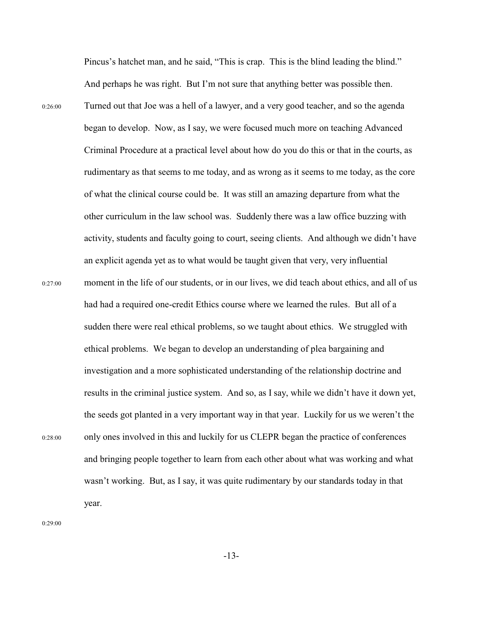Pincus's hatchet man, and he said, "This is crap. This is the blind leading the blind." And perhaps he was right. But I'm not sure that anything better was possible then.

0:26:00 Turned out that Joe was a hell of a lawyer, and a very good teacher, and so the agenda began to develop. Now, as I say, we were focused much more on teaching Advanced Criminal Procedure at a practical level about how do you do this or that in the courts, as rudimentary as that seems to me today, and as wrong as it seems to me today, as the core of what the clinical course could be. It was still an amazing departure from what the other curriculum in the law school was. Suddenly there was a law office buzzing with activity, students and faculty going to court, seeing clients. And although we didn't have an explicit agenda yet as to what would be taught given that very, very influential 0:27:00 moment in the life of our students, or in our lives, we did teach about ethics, and all of us had had a required one-credit Ethics course where we learned the rules. But all of a sudden there were real ethical problems, so we taught about ethics. We struggled with ethical problems. We began to develop an understanding of plea bargaining and investigation and a more sophisticated understanding of the relationship doctrine and results in the criminal justice system. And so, as I say, while we didn't have it down yet, the seeds got planted in a very important way in that year. Luckily for us we weren't the 0:28:00 only ones involved in this and luckily for us CLEPR began the practice of conferences and bringing people together to learn from each other about what was working and what wasn't working. But, as I say, it was quite rudimentary by our standards today in that year.

0:29:00

-13-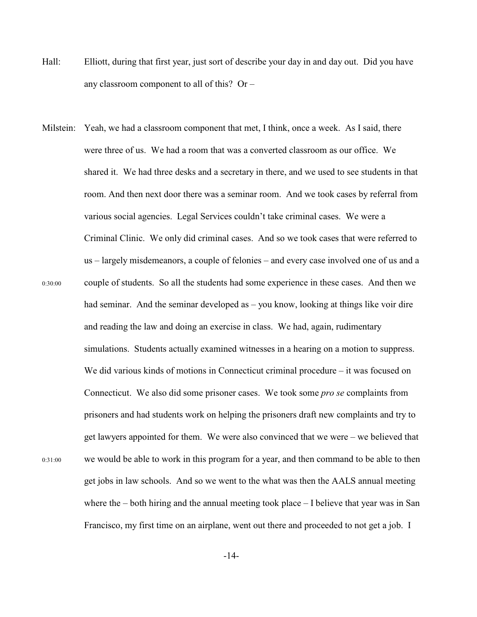- Hall: Elliott, during that first year, just sort of describe your day in and day out. Did you have any classroom component to all of this? Or –
- Milstein: Yeah, we had a classroom component that met, I think, once a week. As I said, there were three of us. We had a room that was a converted classroom as our office. We shared it. We had three desks and a secretary in there, and we used to see students in that room. And then next door there was a seminar room. And we took cases by referral from various social agencies. Legal Services couldn't take criminal cases. We were a Criminal Clinic. We only did criminal cases. And so we took cases that were referred to us – largely misdemeanors, a couple of felonies – and every case involved one of us and a 0:30:00 couple of students. So all the students had some experience in these cases. And then we had seminar. And the seminar developed as – you know, looking at things like voir dire and reading the law and doing an exercise in class. We had, again, rudimentary simulations. Students actually examined witnesses in a hearing on a motion to suppress. We did various kinds of motions in Connecticut criminal procedure – it was focused on Connecticut. We also did some prisoner cases. We took some *pro se* complaints from prisoners and had students work on helping the prisoners draft new complaints and try to get lawyers appointed for them. We were also convinced that we were – we believed that 0:31:00 we would be able to work in this program for a year, and then command to be able to then get jobs in law schools. And so we went to the what was then the AALS annual meeting where the – both hiring and the annual meeting took place – I believe that year was in San Francisco, my first time on an airplane, went out there and proceeded to not get a job. I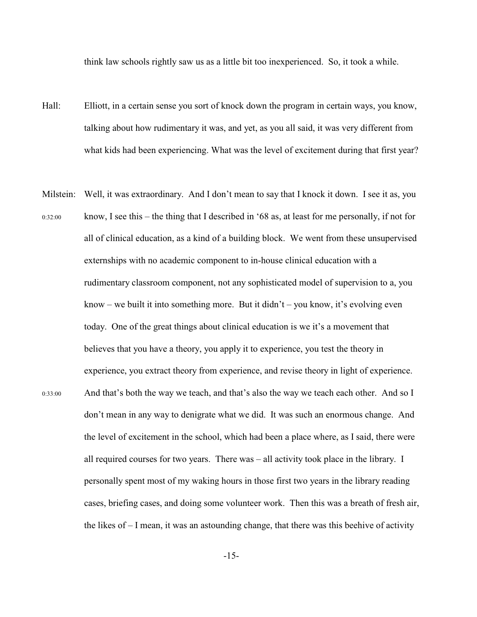think law schools rightly saw us as a little bit too inexperienced. So, it took a while.

- Hall: Elliott, in a certain sense you sort of knock down the program in certain ways, you know, talking about how rudimentary it was, and yet, as you all said, it was very different from what kids had been experiencing. What was the level of excitement during that first year?
- Milstein: Well, it was extraordinary. And I don't mean to say that I knock it down. I see it as, you 0:32:00 know, I see this – the thing that I described in '68 as, at least for me personally, if not for all of clinical education, as a kind of a building block. We went from these unsupervised externships with no academic component to in-house clinical education with a rudimentary classroom component, not any sophisticated model of supervision to a, you know – we built it into something more. But it didn't – you know, it's evolving even today. One of the great things about clinical education is we it's a movement that believes that you have a theory, you apply it to experience, you test the theory in experience, you extract theory from experience, and revise theory in light of experience. 0:33:00 And that's both the way we teach, and that's also the way we teach each other. And so I don't mean in any way to denigrate what we did. It was such an enormous change. And the level of excitement in the school, which had been a place where, as I said, there were all required courses for two years. There was – all activity took place in the library. I personally spent most of my waking hours in those first two years in the library reading cases, briefing cases, and doing some volunteer work. Then this was a breath of fresh air, the likes of  $-I$  mean, it was an astounding change, that there was this beehive of activity
	- -15-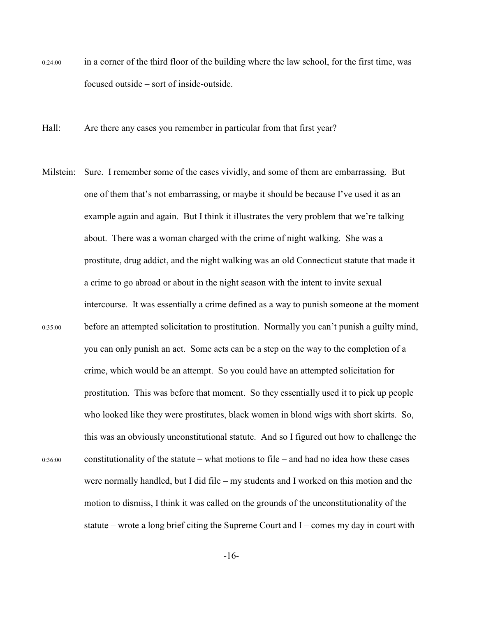- 0:24:00 in a corner of the third floor of the building where the law school, for the first time, was focused outside – sort of inside-outside.
- Hall: Are there any cases you remember in particular from that first year?
- Milstein: Sure. I remember some of the cases vividly, and some of them are embarrassing. But one of them that's not embarrassing, or maybe it should be because I've used it as an example again and again. But I think it illustrates the very problem that we're talking about. There was a woman charged with the crime of night walking. She was a prostitute, drug addict, and the night walking was an old Connecticut statute that made it a crime to go abroad or about in the night season with the intent to invite sexual intercourse. It was essentially a crime defined as a way to punish someone at the moment 0:35:00 before an attempted solicitation to prostitution. Normally you can't punish a guilty mind, you can only punish an act. Some acts can be a step on the way to the completion of a crime, which would be an attempt. So you could have an attempted solicitation for prostitution. This was before that moment. So they essentially used it to pick up people who looked like they were prostitutes, black women in blond wigs with short skirts. So, this was an obviously unconstitutional statute. And so I figured out how to challenge the 0:36:00 constitutionality of the statute – what motions to file – and had no idea how these cases were normally handled, but I did file – my students and I worked on this motion and the motion to dismiss, I think it was called on the grounds of the unconstitutionality of the statute – wrote a long brief citing the Supreme Court and I – comes my day in court with

-16-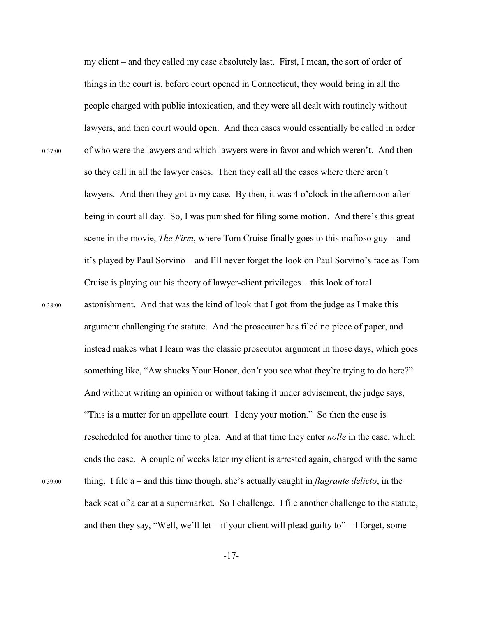my client – and they called my case absolutely last. First, I mean, the sort of order of things in the court is, before court opened in Connecticut, they would bring in all the people charged with public intoxication, and they were all dealt with routinely without lawyers, and then court would open. And then cases would essentially be called in order 0:37:00 of who were the lawyers and which lawyers were in favor and which weren't. And then so they call in all the lawyer cases. Then they call all the cases where there aren't lawyers. And then they got to my case. By then, it was 4 o'clock in the afternoon after being in court all day. So, I was punished for filing some motion. And there's this great scene in the movie, *The Firm*, where Tom Cruise finally goes to this mafioso guy – and it's played by Paul Sorvino – and I'll never forget the look on Paul Sorvino's face as Tom Cruise is playing out his theory of lawyer-client privileges – this look of total 0:38:00 astonishment. And that was the kind of look that I got from the judge as I make this argument challenging the statute. And the prosecutor has filed no piece of paper, and instead makes what I learn was the classic prosecutor argument in those days, which goes something like, "Aw shucks Your Honor, don't you see what they're trying to do here?" And without writing an opinion or without taking it under advisement, the judge says, "This is a matter for an appellate court. I deny your motion." So then the case is rescheduled for another time to plea. And at that time they enter *nolle* in the case, which ends the case. A couple of weeks later my client is arrested again, charged with the same 0:39:00 thing. I file a – and this time though, she's actually caught in *flagrante delicto*, in the back seat of a car at a supermarket. So I challenge. I file another challenge to the statute, and then they say, "Well, we'll let – if your client will plead guilty to" – I forget, some

-17-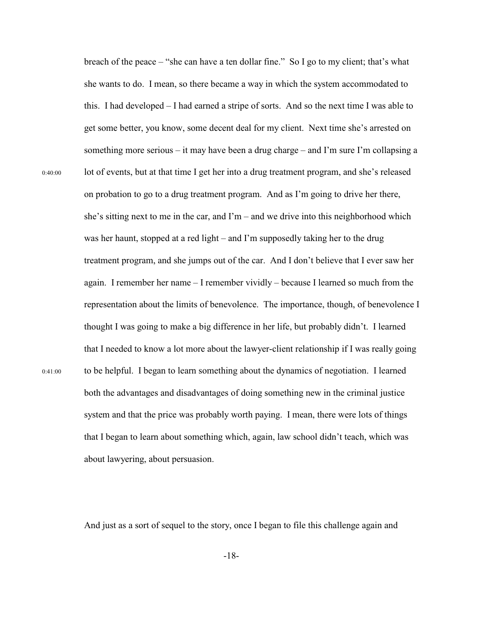breach of the peace – "she can have a ten dollar fine." So I go to my client; that's what she wants to do. I mean, so there became a way in which the system accommodated to this. I had developed – I had earned a stripe of sorts. And so the next time I was able to get some better, you know, some decent deal for my client. Next time she's arrested on something more serious – it may have been a drug charge – and I'm sure I'm collapsing a 0:40:00 lot of events, but at that time I get her into a drug treatment program, and she's released on probation to go to a drug treatment program. And as I'm going to drive her there, she's sitting next to me in the car, and  $\Gamma m$  – and we drive into this neighborhood which was her haunt, stopped at a red light – and I'm supposedly taking her to the drug treatment program, and she jumps out of the car. And I don't believe that I ever saw her again. I remember her name – I remember vividly – because I learned so much from the representation about the limits of benevolence. The importance, though, of benevolence I thought I was going to make a big difference in her life, but probably didn't. I learned that I needed to know a lot more about the lawyer-client relationship if I was really going 0:41:00 to be helpful. I began to learn something about the dynamics of negotiation. I learned both the advantages and disadvantages of doing something new in the criminal justice system and that the price was probably worth paying. I mean, there were lots of things that I began to learn about something which, again, law school didn't teach, which was about lawyering, about persuasion.

And just as a sort of sequel to the story, once I began to file this challenge again and

-18-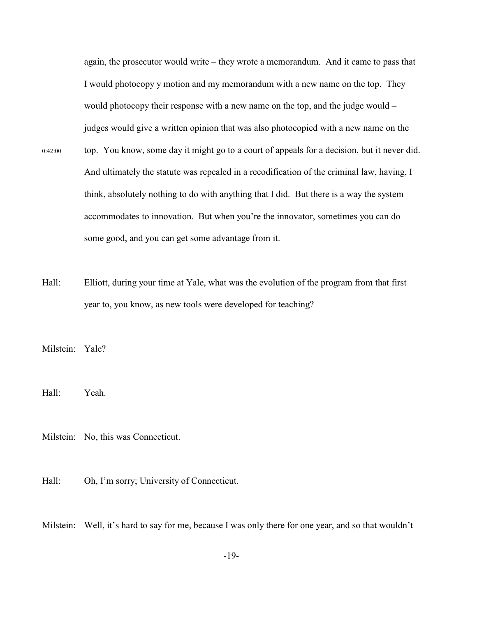again, the prosecutor would write – they wrote a memorandum. And it came to pass that I would photocopy y motion and my memorandum with a new name on the top. They would photocopy their response with a new name on the top, and the judge would – judges would give a written opinion that was also photocopied with a new name on the

- 0:42:00 top. You know, some day it might go to a court of appeals for a decision, but it never did. And ultimately the statute was repealed in a recodification of the criminal law, having, I think, absolutely nothing to do with anything that I did. But there is a way the system accommodates to innovation. But when you're the innovator, sometimes you can do some good, and you can get some advantage from it.
- Hall: Elliott, during your time at Yale, what was the evolution of the program from that first year to, you know, as new tools were developed for teaching?

Milstein: Yale?

Hall: Yeah.

Milstein: No, this was Connecticut.

Hall: Oh, I'm sorry; University of Connecticut.

Milstein: Well, it's hard to say for me, because I was only there for one year, and so that wouldn't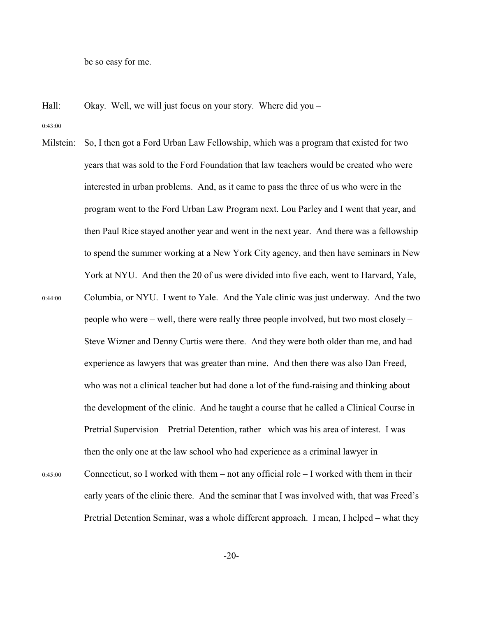be so easy for me.

Hall: Okay. Well, we will just focus on your story. Where did you –

0:43:00

Milstein: So, I then got a Ford Urban Law Fellowship, which was a program that existed for two years that was sold to the Ford Foundation that law teachers would be created who were interested in urban problems. And, as it came to pass the three of us who were in the program went to the Ford Urban Law Program next. Lou Parley and I went that year, and then Paul Rice stayed another year and went in the next year. And there was a fellowship to spend the summer working at a New York City agency, and then have seminars in New York at NYU. And then the 20 of us were divided into five each, went to Harvard, Yale, 0:44:00 Columbia, or NYU. I went to Yale. And the Yale clinic was just underway. And the two people who were – well, there were really three people involved, but two most closely – Steve Wizner and Denny Curtis were there. And they were both older than me, and had experience as lawyers that was greater than mine. And then there was also Dan Freed, who was not a clinical teacher but had done a lot of the fund-raising and thinking about the development of the clinic. And he taught a course that he called a Clinical Course in Pretrial Supervision – Pretrial Detention, rather –which was his area of interest. I was then the only one at the law school who had experience as a criminal lawyer in 0:45:00 Connecticut, so I worked with them – not any official role – I worked with them in their early years of the clinic there. And the seminar that I was involved with, that was Freed's Pretrial Detention Seminar, was a whole different approach. I mean, I helped – what they

-20-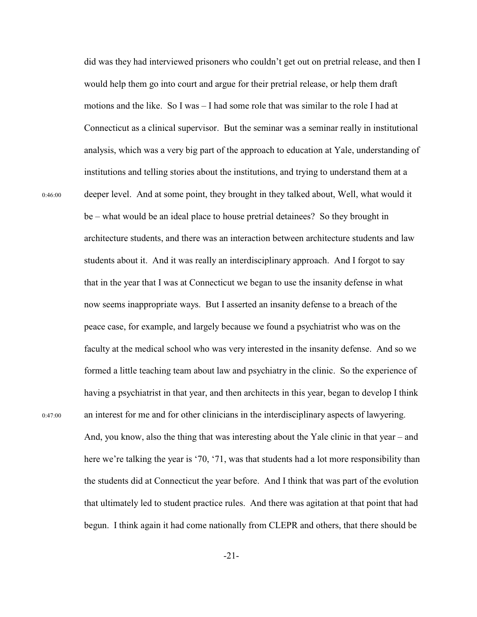did was they had interviewed prisoners who couldn't get out on pretrial release, and then I would help them go into court and argue for their pretrial release, or help them draft motions and the like. So I was – I had some role that was similar to the role I had at Connecticut as a clinical supervisor. But the seminar was a seminar really in institutional analysis, which was a very big part of the approach to education at Yale, understanding of institutions and telling stories about the institutions, and trying to understand them at a 0:46:00 deeper level. And at some point, they brought in they talked about, Well, what would it be – what would be an ideal place to house pretrial detainees? So they brought in architecture students, and there was an interaction between architecture students and law students about it. And it was really an interdisciplinary approach. And I forgot to say that in the year that I was at Connecticut we began to use the insanity defense in what now seems inappropriate ways. But I asserted an insanity defense to a breach of the peace case, for example, and largely because we found a psychiatrist who was on the faculty at the medical school who was very interested in the insanity defense. And so we formed a little teaching team about law and psychiatry in the clinic. So the experience of having a psychiatrist in that year, and then architects in this year, began to develop I think 0:47:00 an interest for me and for other clinicians in the interdisciplinary aspects of lawyering.

And, you know, also the thing that was interesting about the Yale clinic in that year – and here we're talking the year is '70, '71, was that students had a lot more responsibility than the students did at Connecticut the year before. And I think that was part of the evolution that ultimately led to student practice rules. And there was agitation at that point that had begun. I think again it had come nationally from CLEPR and others, that there should be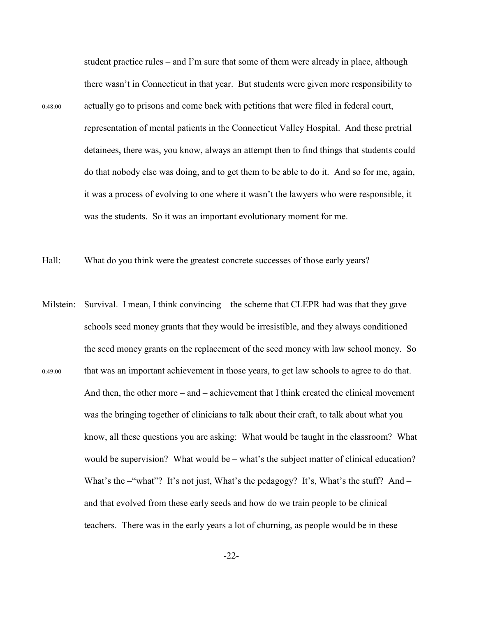student practice rules – and I'm sure that some of them were already in place, although there wasn't in Connecticut in that year. But students were given more responsibility to 0:48:00 actually go to prisons and come back with petitions that were filed in federal court, representation of mental patients in the Connecticut Valley Hospital. And these pretrial detainees, there was, you know, always an attempt then to find things that students could do that nobody else was doing, and to get them to be able to do it. And so for me, again, it was a process of evolving to one where it wasn't the lawyers who were responsible, it was the students. So it was an important evolutionary moment for me.

Hall: What do you think were the greatest concrete successes of those early years?

Milstein: Survival. I mean, I think convincing – the scheme that CLEPR had was that they gave schools seed money grants that they would be irresistible, and they always conditioned the seed money grants on the replacement of the seed money with law school money. So 0:49:00 that was an important achievement in those years, to get law schools to agree to do that. And then, the other more – and – achievement that I think created the clinical movement was the bringing together of clinicians to talk about their craft, to talk about what you know, all these questions you are asking: What would be taught in the classroom? What would be supervision? What would be – what's the subject matter of clinical education? What's the –"what"? It's not just, What's the pedagogy? It's, What's the stuff? And – and that evolved from these early seeds and how do we train people to be clinical teachers. There was in the early years a lot of churning, as people would be in these

-22-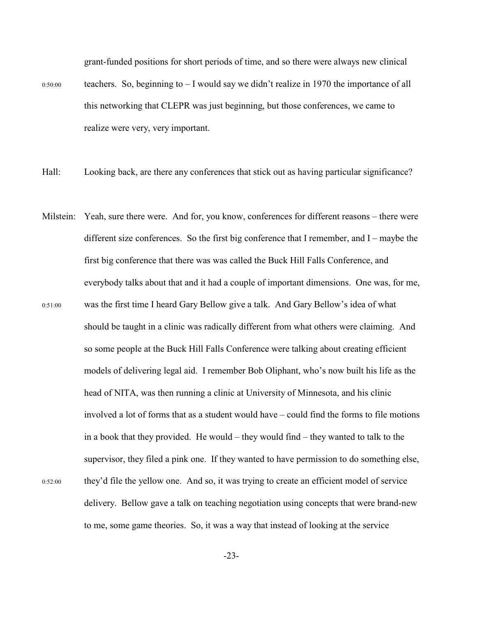grant-funded positions for short periods of time, and so there were always new clinical

- $0:50:00$  teachers. So, beginning to  $-1$  would say we didn't realize in 1970 the importance of all this networking that CLEPR was just beginning, but those conferences, we came to realize were very, very important.
- Hall: Looking back, are there any conferences that stick out as having particular significance?
- Milstein: Yeah, sure there were. And for, you know, conferences for different reasons there were different size conferences. So the first big conference that I remember, and I – maybe the first big conference that there was was called the Buck Hill Falls Conference, and everybody talks about that and it had a couple of important dimensions. One was, for me, 0:51:00 was the first time I heard Gary Bellow give a talk. And Gary Bellow's idea of what should be taught in a clinic was radically different from what others were claiming. And so some people at the Buck Hill Falls Conference were talking about creating efficient models of delivering legal aid. I remember Bob Oliphant, who's now built his life as the head of NITA, was then running a clinic at University of Minnesota, and his clinic involved a lot of forms that as a student would have – could find the forms to file motions in a book that they provided. He would – they would find – they wanted to talk to the supervisor, they filed a pink one. If they wanted to have permission to do something else, 0:52:00 they'd file the yellow one. And so, it was trying to create an efficient model of service delivery. Bellow gave a talk on teaching negotiation using concepts that were brand-new to me, some game theories. So, it was a way that instead of looking at the service

-23-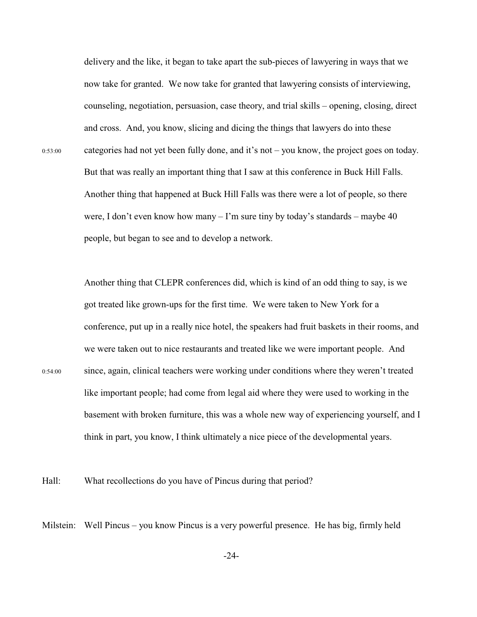delivery and the like, it began to take apart the sub-pieces of lawyering in ways that we now take for granted. We now take for granted that lawyering consists of interviewing, counseling, negotiation, persuasion, case theory, and trial skills – opening, closing, direct and cross. And, you know, slicing and dicing the things that lawyers do into these 0:53:00 categories had not yet been fully done, and it's not – you know, the project goes on today. But that was really an important thing that I saw at this conference in Buck Hill Falls. Another thing that happened at Buck Hill Falls was there were a lot of people, so there were, I don't even know how many  $-I$ 'm sure tiny by today's standards – maybe 40 people, but began to see and to develop a network.

Another thing that CLEPR conferences did, which is kind of an odd thing to say, is we got treated like grown-ups for the first time. We were taken to New York for a conference, put up in a really nice hotel, the speakers had fruit baskets in their rooms, and we were taken out to nice restaurants and treated like we were important people. And 0:54:00 since, again, clinical teachers were working under conditions where they weren't treated like important people; had come from legal aid where they were used to working in the basement with broken furniture, this was a whole new way of experiencing yourself, and I think in part, you know, I think ultimately a nice piece of the developmental years.

Hall: What recollections do you have of Pincus during that period?

Milstein: Well Pincus – you know Pincus is a very powerful presence. He has big, firmly held

-24-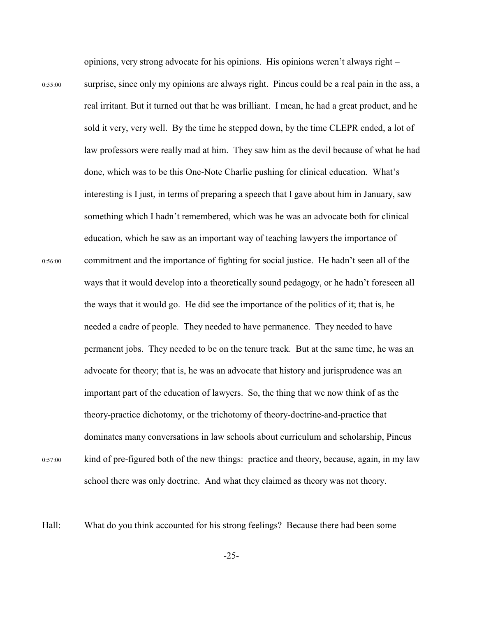opinions, very strong advocate for his opinions. His opinions weren't always right –

0:55:00 surprise, since only my opinions are always right. Pincus could be a real pain in the ass, a real irritant. But it turned out that he was brilliant. I mean, he had a great product, and he sold it very, very well. By the time he stepped down, by the time CLEPR ended, a lot of law professors were really mad at him. They saw him as the devil because of what he had done, which was to be this One-Note Charlie pushing for clinical education. What's interesting is I just, in terms of preparing a speech that I gave about him in January, saw something which I hadn't remembered, which was he was an advocate both for clinical education, which he saw as an important way of teaching lawyers the importance of 0:56:00 commitment and the importance of fighting for social justice. He hadn't seen all of the ways that it would develop into a theoretically sound pedagogy, or he hadn't foreseen all the ways that it would go. He did see the importance of the politics of it; that is, he needed a cadre of people. They needed to have permanence. They needed to have permanent jobs. They needed to be on the tenure track. But at the same time, he was an advocate for theory; that is, he was an advocate that history and jurisprudence was an important part of the education of lawyers. So, the thing that we now think of as the theory-practice dichotomy, or the trichotomy of theory-doctrine-and-practice that dominates many conversations in law schools about curriculum and scholarship, Pincus 0:57:00 kind of pre-figured both of the new things: practice and theory, because, again, in my law

school there was only doctrine. And what they claimed as theory was not theory.

Hall: What do you think accounted for his strong feelings? Because there had been some

-25-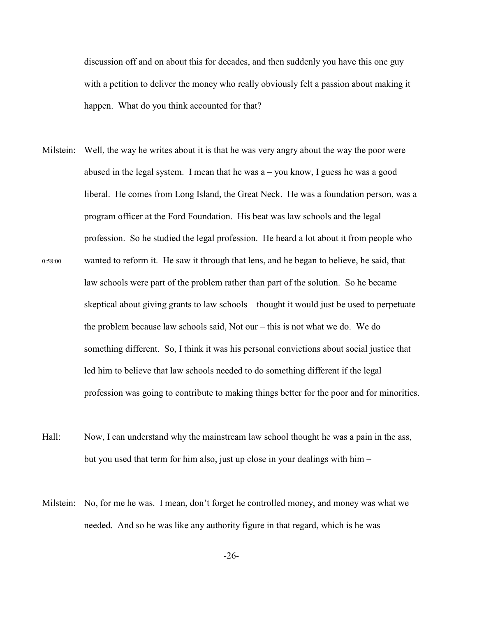discussion off and on about this for decades, and then suddenly you have this one guy with a petition to deliver the money who really obviously felt a passion about making it happen. What do you think accounted for that?

- Milstein: Well, the way he writes about it is that he was very angry about the way the poor were abused in the legal system. I mean that he was  $a - you know, I guess he was a good$ liberal. He comes from Long Island, the Great Neck. He was a foundation person, was a program officer at the Ford Foundation. His beat was law schools and the legal profession. So he studied the legal profession. He heard a lot about it from people who 0:58:00 wanted to reform it. He saw it through that lens, and he began to believe, he said, that law schools were part of the problem rather than part of the solution. So he became skeptical about giving grants to law schools – thought it would just be used to perpetuate the problem because law schools said, Not our – this is not what we do. We do something different. So, I think it was his personal convictions about social justice that led him to believe that law schools needed to do something different if the legal profession was going to contribute to making things better for the poor and for minorities.
- Hall: Now, I can understand why the mainstream law school thought he was a pain in the ass, but you used that term for him also, just up close in your dealings with him –
- Milstein: No, for me he was. I mean, don't forget he controlled money, and money was what we needed. And so he was like any authority figure in that regard, which is he was

-26-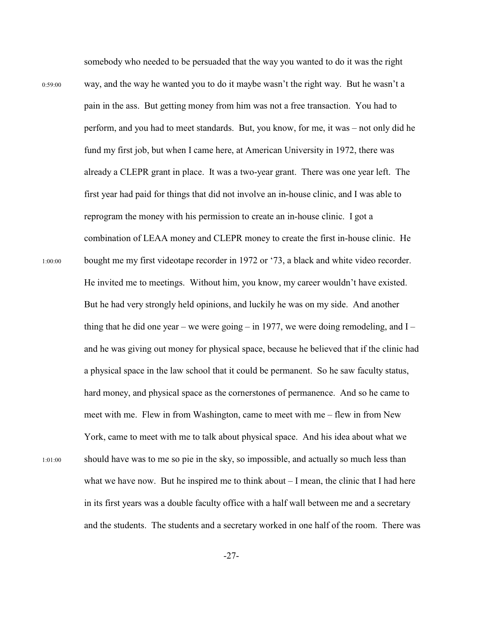somebody who needed to be persuaded that the way you wanted to do it was the right 0:59:00 way, and the way he wanted you to do it maybe wasn't the right way. But he wasn't a pain in the ass. But getting money from him was not a free transaction. You had to perform, and you had to meet standards. But, you know, for me, it was – not only did he fund my first job, but when I came here, at American University in 1972, there was already a CLEPR grant in place. It was a two-year grant. There was one year left. The first year had paid for things that did not involve an in-house clinic, and I was able to reprogram the money with his permission to create an in-house clinic. I got a combination of LEAA money and CLEPR money to create the first in-house clinic. He 1:00:00 bought me my first videotape recorder in 1972 or '73, a black and white video recorder. He invited me to meetings. Without him, you know, my career wouldn't have existed. But he had very strongly held opinions, and luckily he was on my side. And another thing that he did one year – we were going – in 1977, we were doing remodeling, and  $I$  – and he was giving out money for physical space, because he believed that if the clinic had a physical space in the law school that it could be permanent. So he saw faculty status, hard money, and physical space as the cornerstones of permanence. And so he came to meet with me. Flew in from Washington, came to meet with me – flew in from New York, came to meet with me to talk about physical space. And his idea about what we 1:01:00 should have was to me so pie in the sky, so impossible, and actually so much less than what we have now. But he inspired me to think about  $-I$  mean, the clinic that I had here in its first years was a double faculty office with a half wall between me and a secretary and the students. The students and a secretary worked in one half of the room. There was

-27-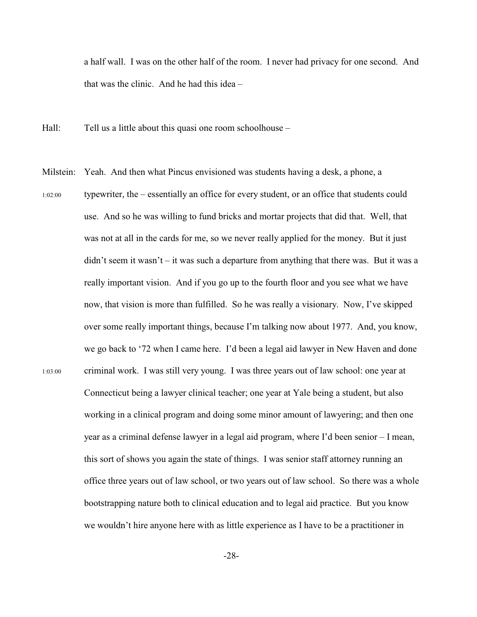a half wall. I was on the other half of the room. I never had privacy for one second. And that was the clinic. And he had this idea –

- Hall: Tell us a little about this quasi one room schoolhouse –
- Milstein: Yeah. And then what Pincus envisioned was students having a desk, a phone, a 1:02:00 typewriter, the – essentially an office for every student, or an office that students could use. And so he was willing to fund bricks and mortar projects that did that. Well, that was not at all in the cards for me, so we never really applied for the money. But it just didn't seem it wasn't – it was such a departure from anything that there was. But it was a really important vision. And if you go up to the fourth floor and you see what we have now, that vision is more than fulfilled. So he was really a visionary. Now, I've skipped over some really important things, because I'm talking now about 1977. And, you know, we go back to '72 when I came here. I'd been a legal aid lawyer in New Haven and done 1:03:00 criminal work. I was still very young. I was three years out of law school: one year at Connecticut being a lawyer clinical teacher; one year at Yale being a student, but also working in a clinical program and doing some minor amount of lawyering; and then one year as a criminal defense lawyer in a legal aid program, where I'd been senior – I mean, this sort of shows you again the state of things. I was senior staff attorney running an office three years out of law school, or two years out of law school. So there was a whole bootstrapping nature both to clinical education and to legal aid practice. But you know we wouldn't hire anyone here with as little experience as I have to be a practitioner in

-28-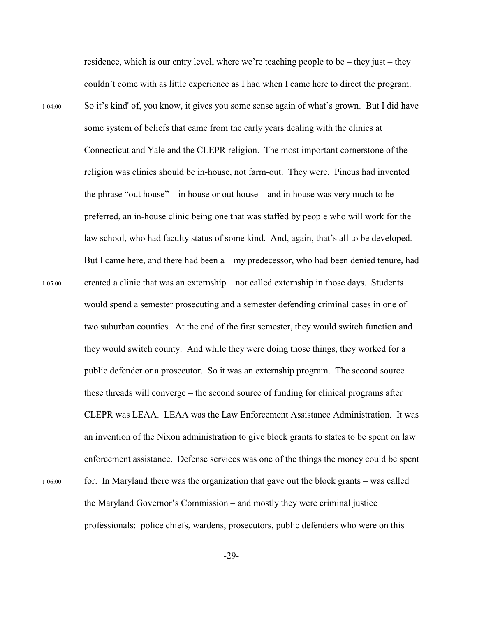residence, which is our entry level, where we're teaching people to be – they just – they couldn't come with as little experience as I had when I came here to direct the program. 1:04:00 So it's kind' of, you know, it gives you some sense again of what's grown. But I did have some system of beliefs that came from the early years dealing with the clinics at Connecticut and Yale and the CLEPR religion. The most important cornerstone of the religion was clinics should be in-house, not farm-out. They were. Pincus had invented the phrase "out house" – in house or out house – and in house was very much to be preferred, an in-house clinic being one that was staffed by people who will work for the law school, who had faculty status of some kind. And, again, that's all to be developed. But I came here, and there had been a – my predecessor, who had been denied tenure, had 1:05:00 created a clinic that was an externship – not called externship in those days. Students would spend a semester prosecuting and a semester defending criminal cases in one of two suburban counties. At the end of the first semester, they would switch function and they would switch county. And while they were doing those things, they worked for a public defender or a prosecutor. So it was an externship program. The second source – these threads will converge – the second source of funding for clinical programs after CLEPR was LEAA. LEAA was the Law Enforcement Assistance Administration. It was an invention of the Nixon administration to give block grants to states to be spent on law enforcement assistance. Defense services was one of the things the money could be spent 1:06:00 for. In Maryland there was the organization that gave out the block grants – was called the Maryland Governor's Commission – and mostly they were criminal justice professionals: police chiefs, wardens, prosecutors, public defenders who were on this

-29-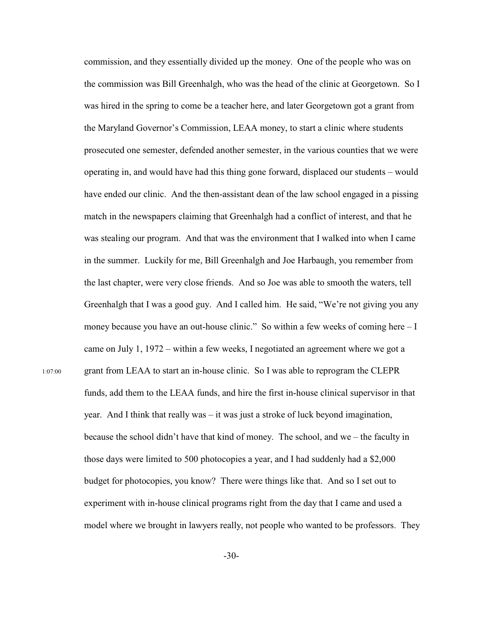commission, and they essentially divided up the money. One of the people who was on the commission was Bill Greenhalgh, who was the head of the clinic at Georgetown. So I was hired in the spring to come be a teacher here, and later Georgetown got a grant from the Maryland Governor's Commission, LEAA money, to start a clinic where students prosecuted one semester, defended another semester, in the various counties that we were operating in, and would have had this thing gone forward, displaced our students – would have ended our clinic. And the then-assistant dean of the law school engaged in a pissing match in the newspapers claiming that Greenhalgh had a conflict of interest, and that he was stealing our program. And that was the environment that I walked into when I came in the summer. Luckily for me, Bill Greenhalgh and Joe Harbaugh, you remember from the last chapter, were very close friends. And so Joe was able to smooth the waters, tell Greenhalgh that I was a good guy. And I called him. He said, "We're not giving you any money because you have an out-house clinic." So within a few weeks of coming here  $-I$ came on July 1, 1972 – within a few weeks, I negotiated an agreement where we got a 1:07:00 grant from LEAA to start an in-house clinic. So I was able to reprogram the CLEPR funds, add them to the LEAA funds, and hire the first in-house clinical supervisor in that year. And I think that really was – it was just a stroke of luck beyond imagination, because the school didn't have that kind of money. The school, and we – the faculty in those days were limited to 500 photocopies a year, and I had suddenly had a \$2,000 budget for photocopies, you know? There were things like that. And so I set out to experiment with in-house clinical programs right from the day that I came and used a model where we brought in lawyers really, not people who wanted to be professors. They

-30-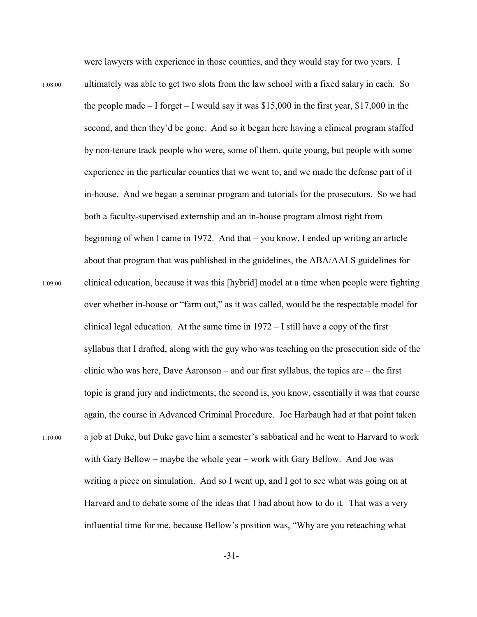were lawyers with experience in those counties, and they would stay for two years. I

1:08:00 ultimately was able to get two slots from the law school with a fixed salary in each. So the people made – I forget – I would say it was  $$15,000$  in the first year,  $$17,000$  in the second, and then they'd be gone. And so it began here having a clinical program staffed by non-tenure track people who were, some of them, quite young, but people with some experience in the particular counties that we went to, and we made the defense part of it in-house. And we began a seminar program and tutorials for the prosecutors. So we had both a faculty-supervised externship and an in-house program almost right from beginning of when I came in 1972. And that – you know, I ended up writing an article about that program that was published in the guidelines, the ABA/AALS guidelines for 1:09:00 clinical education, because it was this [hybrid] model at a time when people were fighting over whether in-house or "farm out," as it was called, would be the respectable model for clinical legal education. At the same time in 1972 – I still have a copy of the first syllabus that I drafted, along with the guy who was teaching on the prosecution side of the clinic who was here, Dave Aaronson – and our first syllabus, the topics are – the first topic is grand jury and indictments; the second is, you know, essentially it was that course again, the course in Advanced Criminal Procedure. Joe Harbaugh had at that point taken 1:10:00 a job at Duke, but Duke gave him a semester's sabbatical and he went to Harvard to work with Gary Bellow – maybe the whole year – work with Gary Bellow. And Joe was writing a piece on simulation. And so I went up, and I got to see what was going on at Harvard and to debate some of the ideas that I had about how to do it. That was a very influential time for me, because Bellow's position was, "Why are you reteaching what

-31-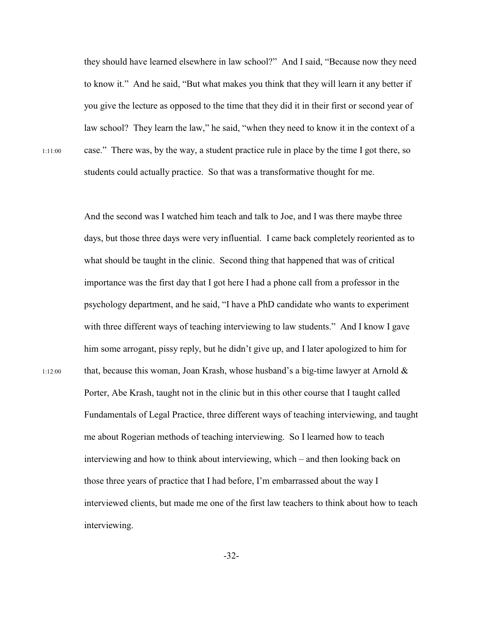they should have learned elsewhere in law school?" And I said, "Because now they need to know it." And he said, "But what makes you think that they will learn it any better if you give the lecture as opposed to the time that they did it in their first or second year of law school? They learn the law," he said, "when they need to know it in the context of a 1:11:00 case." There was, by the way, a student practice rule in place by the time I got there, so students could actually practice. So that was a transformative thought for me.

And the second was I watched him teach and talk to Joe, and I was there maybe three days, but those three days were very influential. I came back completely reoriented as to what should be taught in the clinic. Second thing that happened that was of critical importance was the first day that I got here I had a phone call from a professor in the psychology department, and he said, "I have a PhD candidate who wants to experiment with three different ways of teaching interviewing to law students." And I know I gave him some arrogant, pissy reply, but he didn't give up, and I later apologized to him for 1:12:00 that, because this woman, Joan Krash, whose husband's a big-time lawyer at Arnold  $\&$ Porter, Abe Krash, taught not in the clinic but in this other course that I taught called Fundamentals of Legal Practice, three different ways of teaching interviewing, and taught me about Rogerian methods of teaching interviewing. So I learned how to teach interviewing and how to think about interviewing, which – and then looking back on those three years of practice that I had before, I'm embarrassed about the way I interviewed clients, but made me one of the first law teachers to think about how to teach interviewing.

-32-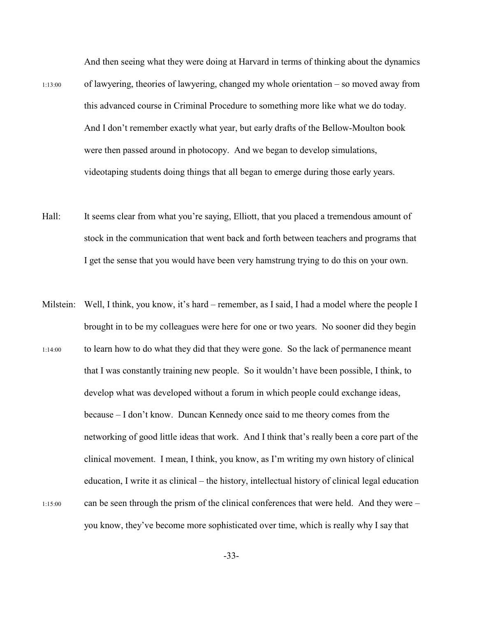And then seeing what they were doing at Harvard in terms of thinking about the dynamics

- 1:13:00 of lawyering, theories of lawyering, changed my whole orientation so moved away from this advanced course in Criminal Procedure to something more like what we do today. And I don't remember exactly what year, but early drafts of the Bellow-Moulton book were then passed around in photocopy. And we began to develop simulations, videotaping students doing things that all began to emerge during those early years.
- Hall: It seems clear from what you're saying, Elliott, that you placed a tremendous amount of stock in the communication that went back and forth between teachers and programs that I get the sense that you would have been very hamstrung trying to do this on your own.
- Milstein: Well, I think, you know, it's hard remember, as I said, I had a model where the people I brought in to be my colleagues were here for one or two years. No sooner did they begin 1:14:00 to learn how to do what they did that they were gone. So the lack of permanence meant that I was constantly training new people. So it wouldn't have been possible, I think, to develop what was developed without a forum in which people could exchange ideas, because – I don't know. Duncan Kennedy once said to me theory comes from the networking of good little ideas that work. And I think that's really been a core part of the clinical movement. I mean, I think, you know, as I'm writing my own history of clinical education, I write it as clinical – the history, intellectual history of clinical legal education 1:15:00 can be seen through the prism of the clinical conferences that were held. And they were – you know, they've become more sophisticated over time, which is really why I say that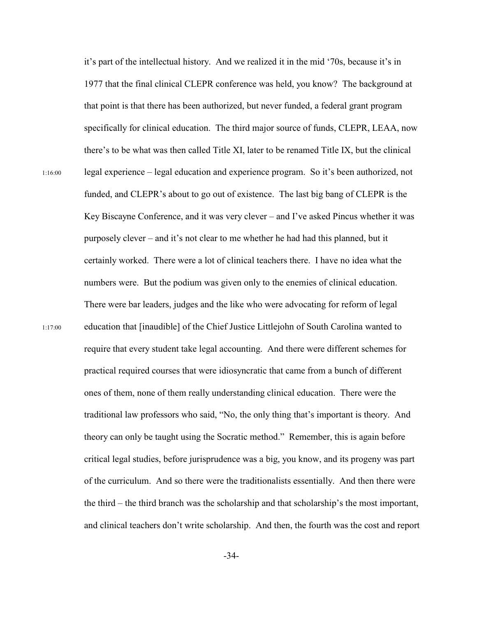it's part of the intellectual history. And we realized it in the mid '70s, because it's in 1977 that the final clinical CLEPR conference was held, you know? The background at that point is that there has been authorized, but never funded, a federal grant program specifically for clinical education. The third major source of funds, CLEPR, LEAA, now there's to be what was then called Title XI, later to be renamed Title IX, but the clinical 1:16:00 legal experience – legal education and experience program. So it's been authorized, not funded, and CLEPR's about to go out of existence. The last big bang of CLEPR is the Key Biscayne Conference, and it was very clever – and I've asked Pincus whether it was purposely clever – and it's not clear to me whether he had had this planned, but it certainly worked. There were a lot of clinical teachers there. I have no idea what the numbers were. But the podium was given only to the enemies of clinical education. There were bar leaders, judges and the like who were advocating for reform of legal 1:17:00 education that [inaudible] of the Chief Justice Littlejohn of South Carolina wanted to require that every student take legal accounting. And there were different schemes for practical required courses that were idiosyncratic that came from a bunch of different ones of them, none of them really understanding clinical education. There were the traditional law professors who said, "No, the only thing that's important is theory. And theory can only be taught using the Socratic method." Remember, this is again before critical legal studies, before jurisprudence was a big, you know, and its progeny was part of the curriculum. And so there were the traditionalists essentially. And then there were the third – the third branch was the scholarship and that scholarship's the most important, and clinical teachers don't write scholarship. And then, the fourth was the cost and report

-34-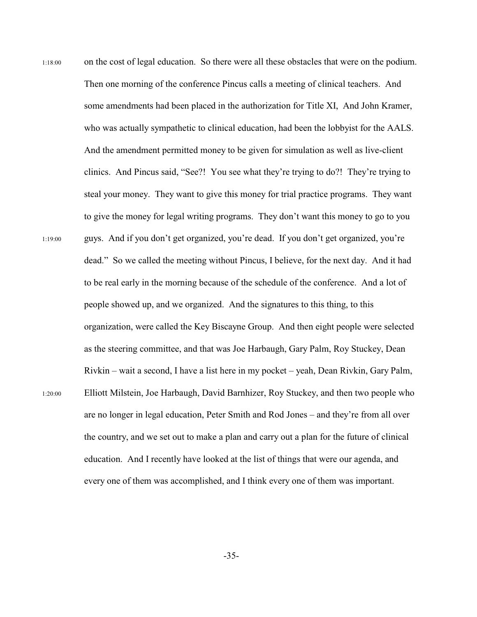1:18:00 on the cost of legal education. So there were all these obstacles that were on the podium. Then one morning of the conference Pincus calls a meeting of clinical teachers. And some amendments had been placed in the authorization for Title XI, And John Kramer, who was actually sympathetic to clinical education, had been the lobbyist for the AALS. And the amendment permitted money to be given for simulation as well as live-client clinics. And Pincus said, "See?! You see what they're trying to do?! They're trying to steal your money. They want to give this money for trial practice programs. They want to give the money for legal writing programs. They don't want this money to go to you 1:19:00 guys. And if you don't get organized, you're dead. If you don't get organized, you're dead." So we called the meeting without Pincus, I believe, for the next day. And it had to be real early in the morning because of the schedule of the conference. And a lot of people showed up, and we organized. And the signatures to this thing, to this organization, were called the Key Biscayne Group. And then eight people were selected as the steering committee, and that was Joe Harbaugh, Gary Palm, Roy Stuckey, Dean Rivkin – wait a second, I have a list here in my pocket – yeah, Dean Rivkin, Gary Palm, 1:20:00 Elliott Milstein, Joe Harbaugh, David Barnhizer, Roy Stuckey, and then two people who are no longer in legal education, Peter Smith and Rod Jones – and they're from all over the country, and we set out to make a plan and carry out a plan for the future of clinical education. And I recently have looked at the list of things that were our agenda, and every one of them was accomplished, and I think every one of them was important.

-35-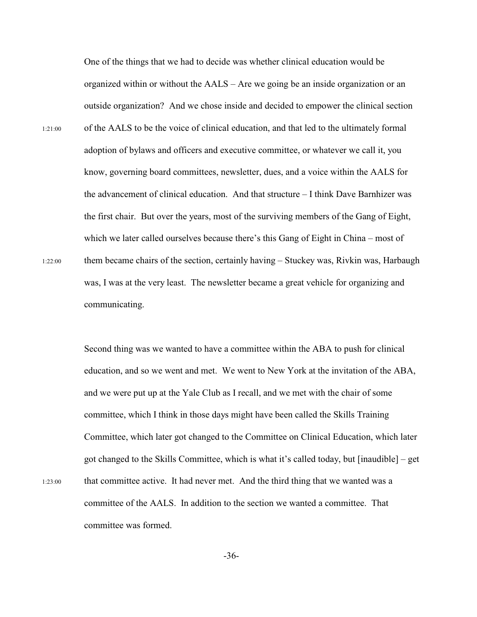One of the things that we had to decide was whether clinical education would be organized within or without the AALS – Are we going be an inside organization or an outside organization? And we chose inside and decided to empower the clinical section 1:21:00 of the AALS to be the voice of clinical education, and that led to the ultimately formal adoption of bylaws and officers and executive committee, or whatever we call it, you know, governing board committees, newsletter, dues, and a voice within the AALS for the advancement of clinical education. And that structure – I think Dave Barnhizer was the first chair. But over the years, most of the surviving members of the Gang of Eight, which we later called ourselves because there's this Gang of Eight in China – most of 1:22:00 them became chairs of the section, certainly having – Stuckey was, Rivkin was, Harbaugh was, I was at the very least. The newsletter became a great vehicle for organizing and communicating.

Second thing was we wanted to have a committee within the ABA to push for clinical education, and so we went and met. We went to New York at the invitation of the ABA, and we were put up at the Yale Club as I recall, and we met with the chair of some committee, which I think in those days might have been called the Skills Training Committee, which later got changed to the Committee on Clinical Education, which later got changed to the Skills Committee, which is what it's called today, but [inaudible] – get 1:23:00 that committee active. It had never met. And the third thing that we wanted was a committee of the AALS. In addition to the section we wanted a committee. That committee was formed.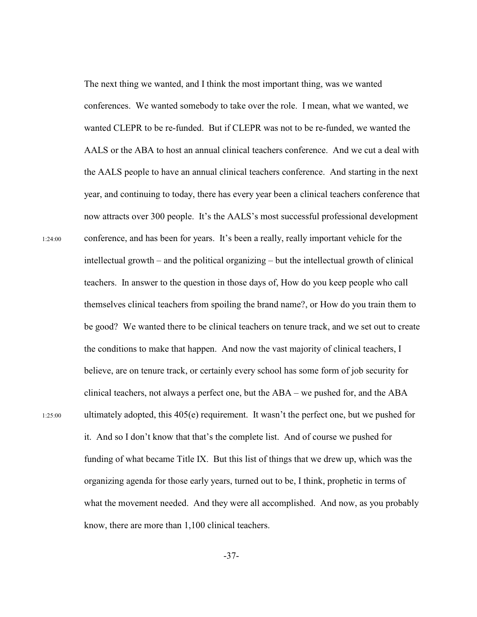The next thing we wanted, and I think the most important thing, was we wanted conferences. We wanted somebody to take over the role. I mean, what we wanted, we wanted CLEPR to be re-funded. But if CLEPR was not to be re-funded, we wanted the AALS or the ABA to host an annual clinical teachers conference. And we cut a deal with the AALS people to have an annual clinical teachers conference. And starting in the next year, and continuing to today, there has every year been a clinical teachers conference that now attracts over 300 people. It's the AALS's most successful professional development 1:24:00 conference, and has been for years. It's been a really, really important vehicle for the intellectual growth – and the political organizing – but the intellectual growth of clinical teachers. In answer to the question in those days of, How do you keep people who call themselves clinical teachers from spoiling the brand name?, or How do you train them to be good? We wanted there to be clinical teachers on tenure track, and we set out to create the conditions to make that happen. And now the vast majority of clinical teachers, I believe, are on tenure track, or certainly every school has some form of job security for clinical teachers, not always a perfect one, but the ABA – we pushed for, and the ABA 1:25:00 ultimately adopted, this 405(e) requirement. It wasn't the perfect one, but we pushed for it. And so I don't know that that's the complete list. And of course we pushed for funding of what became Title IX. But this list of things that we drew up, which was the organizing agenda for those early years, turned out to be, I think, prophetic in terms of what the movement needed. And they were all accomplished. And now, as you probably know, there are more than 1,100 clinical teachers.

-37-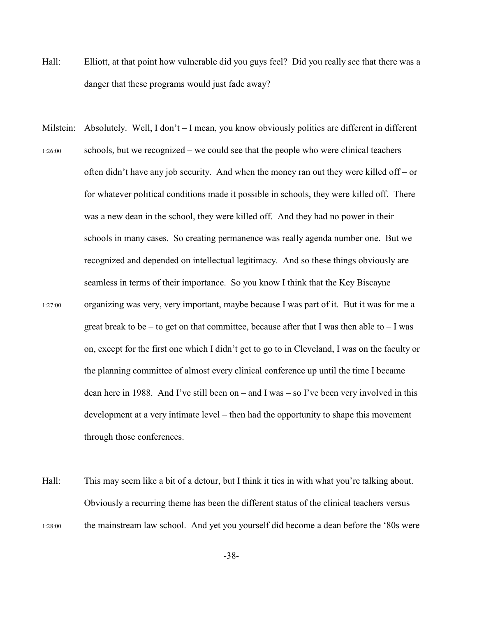- Hall: Elliott, at that point how vulnerable did you guys feel? Did you really see that there was a danger that these programs would just fade away?
- Milstein: Absolutely. Well, I don't I mean, you know obviously politics are different in different 1:26:00 schools, but we recognized – we could see that the people who were clinical teachers often didn't have any job security. And when the money ran out they were killed off – or for whatever political conditions made it possible in schools, they were killed off. There was a new dean in the school, they were killed off. And they had no power in their schools in many cases. So creating permanence was really agenda number one. But we recognized and depended on intellectual legitimacy. And so these things obviously are seamless in terms of their importance. So you know I think that the Key Biscayne 1:27:00 organizing was very, very important, maybe because I was part of it. But it was for me a great break to be – to get on that committee, because after that I was then able to  $- I$  was on, except for the first one which I didn't get to go to in Cleveland, I was on the faculty or the planning committee of almost every clinical conference up until the time I became dean here in 1988. And I've still been on – and I was – so I've been very involved in this development at a very intimate level – then had the opportunity to shape this movement through those conferences.
- Hall: This may seem like a bit of a detour, but I think it ties in with what you're talking about. Obviously a recurring theme has been the different status of the clinical teachers versus 1:28:00 the mainstream law school. And yet you yourself did become a dean before the '80s were

-38-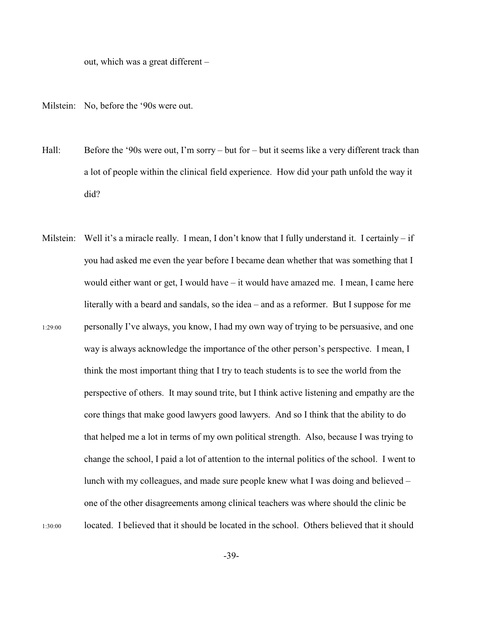out, which was a great different –

Milstein: No, before the '90s were out.

- Hall: Before the '90s were out, I'm sorry but for but it seems like a very different track than a lot of people within the clinical field experience. How did your path unfold the way it did?
- Milstein: Well it's a miracle really. I mean, I don't know that I fully understand it. I certainly if you had asked me even the year before I became dean whether that was something that I would either want or get, I would have – it would have amazed me. I mean, I came here literally with a beard and sandals, so the idea – and as a reformer. But I suppose for me 1:29:00 personally I've always, you know, I had my own way of trying to be persuasive, and one way is always acknowledge the importance of the other person's perspective. I mean, I think the most important thing that I try to teach students is to see the world from the perspective of others. It may sound trite, but I think active listening and empathy are the core things that make good lawyers good lawyers. And so I think that the ability to do that helped me a lot in terms of my own political strength. Also, because I was trying to change the school, I paid a lot of attention to the internal politics of the school. I went to lunch with my colleagues, and made sure people knew what I was doing and believed – one of the other disagreements among clinical teachers was where should the clinic be 1:30:00 located. I believed that it should be located in the school. Others believed that it should

-39-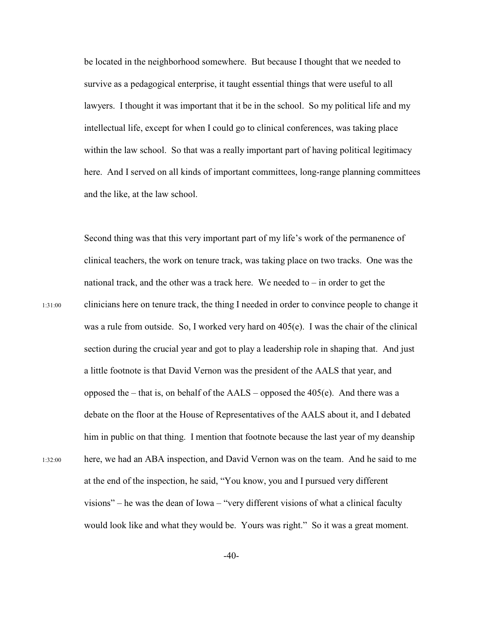be located in the neighborhood somewhere. But because I thought that we needed to survive as a pedagogical enterprise, it taught essential things that were useful to all lawyers. I thought it was important that it be in the school. So my political life and my intellectual life, except for when I could go to clinical conferences, was taking place within the law school. So that was a really important part of having political legitimacy here. And I served on all kinds of important committees, long-range planning committees and the like, at the law school.

Second thing was that this very important part of my life's work of the permanence of clinical teachers, the work on tenure track, was taking place on two tracks. One was the national track, and the other was a track here. We needed to  $-$  in order to get the 1:31:00 clinicians here on tenure track, the thing I needed in order to convince people to change it was a rule from outside. So, I worked very hard on 405(e). I was the chair of the clinical section during the crucial year and got to play a leadership role in shaping that. And just a little footnote is that David Vernon was the president of the AALS that year, and opposed the – that is, on behalf of the  $AALS$  – opposed the 405(e). And there was a debate on the floor at the House of Representatives of the AALS about it, and I debated him in public on that thing. I mention that footnote because the last year of my deanship 1:32:00 here, we had an ABA inspection, and David Vernon was on the team. And he said to me at the end of the inspection, he said, "You know, you and I pursued very different visions" – he was the dean of Iowa – "very different visions of what a clinical faculty would look like and what they would be. Yours was right." So it was a great moment.

 $-40-$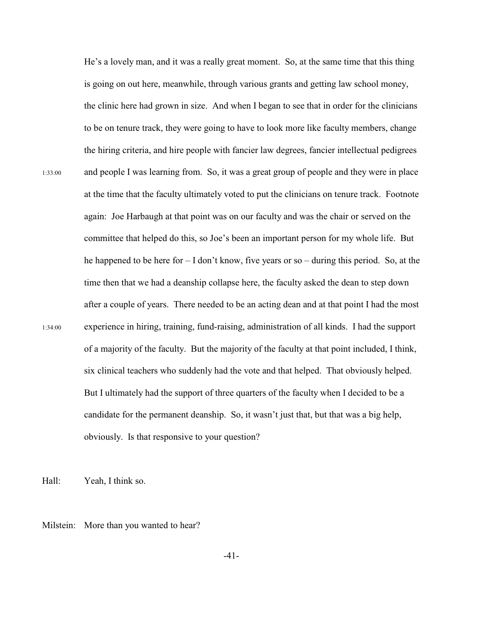He's a lovely man, and it was a really great moment. So, at the same time that this thing is going on out here, meanwhile, through various grants and getting law school money, the clinic here had grown in size. And when I began to see that in order for the clinicians to be on tenure track, they were going to have to look more like faculty members, change the hiring criteria, and hire people with fancier law degrees, fancier intellectual pedigrees 1:33:00 and people I was learning from. So, it was a great group of people and they were in place at the time that the faculty ultimately voted to put the clinicians on tenure track. Footnote again: Joe Harbaugh at that point was on our faculty and was the chair or served on the committee that helped do this, so Joe's been an important person for my whole life. But he happened to be here for – I don't know, five years or so – during this period. So, at the time then that we had a deanship collapse here, the faculty asked the dean to step down after a couple of years. There needed to be an acting dean and at that point I had the most 1:34:00 experience in hiring, training, fund-raising, administration of all kinds. I had the support of a majority of the faculty. But the majority of the faculty at that point included, I think, six clinical teachers who suddenly had the vote and that helped. That obviously helped. But I ultimately had the support of three quarters of the faculty when I decided to be a candidate for the permanent deanship. So, it wasn't just that, but that was a big help, obviously. Is that responsive to your question?

Hall: Yeah, I think so.

Milstein: More than you wanted to hear?

-41-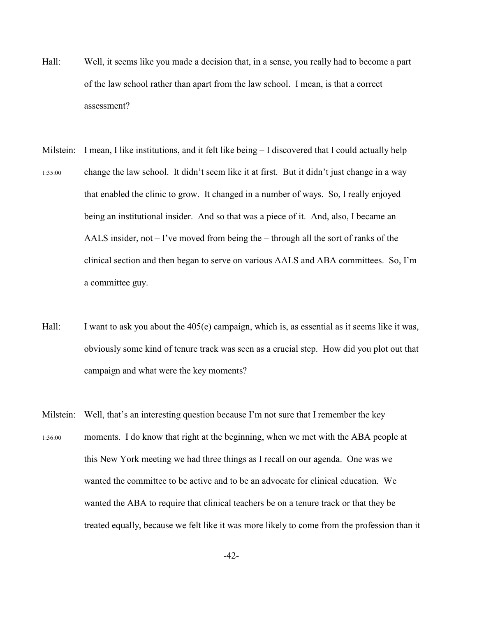- Hall: Well, it seems like you made a decision that, in a sense, you really had to become a part of the law school rather than apart from the law school. I mean, is that a correct assessment?
- Milstein: I mean, I like institutions, and it felt like being I discovered that I could actually help 1:35:00 change the law school. It didn't seem like it at first. But it didn't just change in a way that enabled the clinic to grow. It changed in a number of ways. So, I really enjoyed being an institutional insider. And so that was a piece of it. And, also, I became an AALS insider, not – I've moved from being the – through all the sort of ranks of the clinical section and then began to serve on various AALS and ABA committees. So, I'm a committee guy.
- Hall: I want to ask you about the 405(e) campaign, which is, as essential as it seems like it was, obviously some kind of tenure track was seen as a crucial step. How did you plot out that campaign and what were the key moments?
- Milstein: Well, that's an interesting question because I'm not sure that I remember the key 1:36:00 moments. I do know that right at the beginning, when we met with the ABA people at this New York meeting we had three things as I recall on our agenda. One was we wanted the committee to be active and to be an advocate for clinical education. We wanted the ABA to require that clinical teachers be on a tenure track or that they be treated equally, because we felt like it was more likely to come from the profession than it

-42-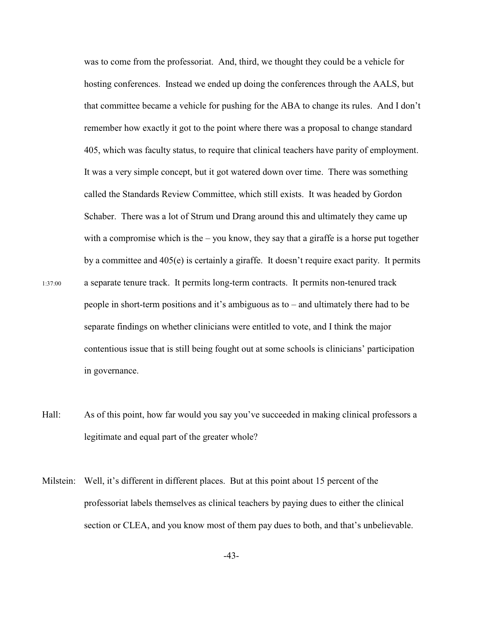was to come from the professoriat. And, third, we thought they could be a vehicle for hosting conferences. Instead we ended up doing the conferences through the AALS, but that committee became a vehicle for pushing for the ABA to change its rules. And I don't remember how exactly it got to the point where there was a proposal to change standard 405, which was faculty status, to require that clinical teachers have parity of employment. It was a very simple concept, but it got watered down over time. There was something called the Standards Review Committee, which still exists. It was headed by Gordon Schaber. There was a lot of Strum und Drang around this and ultimately they came up with a compromise which is the  $-$  you know, they say that a giraffe is a horse put together by a committee and 405(e) is certainly a giraffe. It doesn't require exact parity. It permits 1:37:00 a separate tenure track. It permits long-term contracts. It permits non-tenured track people in short-term positions and it's ambiguous as to – and ultimately there had to be separate findings on whether clinicians were entitled to vote, and I think the major contentious issue that is still being fought out at some schools is clinicians' participation in governance.

- Hall: As of this point, how far would you say you've succeeded in making clinical professors a legitimate and equal part of the greater whole?
- Milstein: Well, it's different in different places. But at this point about 15 percent of the professoriat labels themselves as clinical teachers by paying dues to either the clinical section or CLEA, and you know most of them pay dues to both, and that's unbelievable.

-43-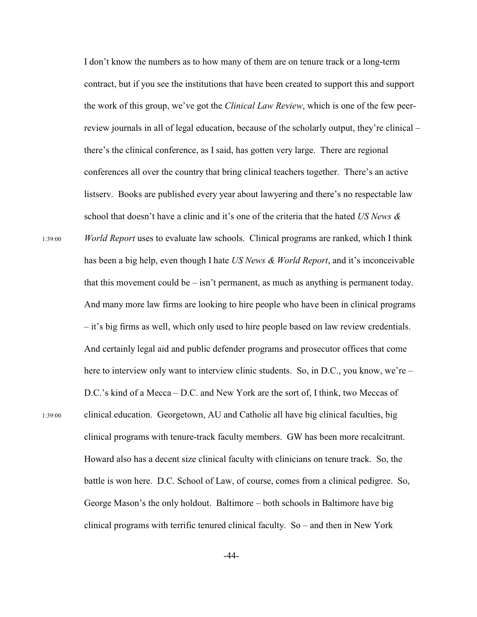I don't know the numbers as to how many of them are on tenure track or a long-term contract, but if you see the institutions that have been created to support this and support the work of this group, we've got the *Clinical Law Review*, which is one of the few peerreview journals in all of legal education, because of the scholarly output, they're clinical – there's the clinical conference, as I said, has gotten very large. There are regional conferences all over the country that bring clinical teachers together. There's an active listserv. Books are published every year about lawyering and there's no respectable law school that doesn't have a clinic and it's one of the criteria that the hated *US News &* 1:39:00 *World Report* uses to evaluate law schools. Clinical programs are ranked, which I think has been a big help, even though I hate *US News & World Report*, and it's inconceivable that this movement could be  $-$  isn't permanent, as much as anything is permanent today. And many more law firms are looking to hire people who have been in clinical programs – it's big firms as well, which only used to hire people based on law review credentials. And certainly legal aid and public defender programs and prosecutor offices that come here to interview only want to interview clinic students. So, in D.C., you know, we're – D.C.'s kind of a Mecca – D.C. and New York are the sort of, I think, two Meccas of 1:39:00 clinical education. Georgetown, AU and Catholic all have big clinical faculties, big clinical programs with tenure-track faculty members. GW has been more recalcitrant. Howard also has a decent size clinical faculty with clinicians on tenure track. So, the battle is won here. D.C. School of Law, of course, comes from a clinical pedigree. So, George Mason's the only holdout. Baltimore – both schools in Baltimore have big clinical programs with terrific tenured clinical faculty. So – and then in New York

-44-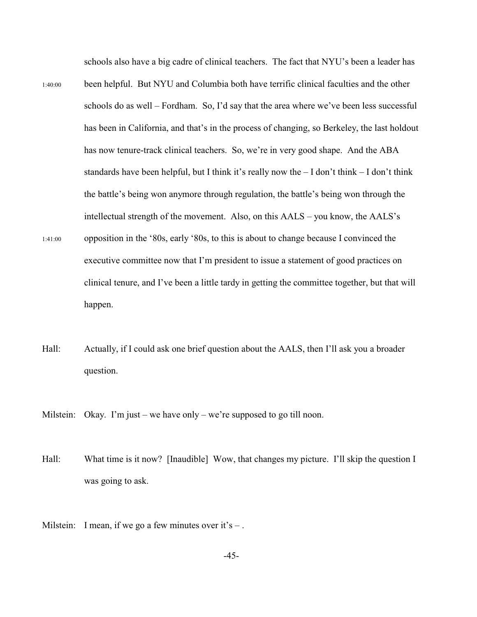schools also have a big cadre of clinical teachers. The fact that NYU's been a leader has

- 1:40:00 been helpful. But NYU and Columbia both have terrific clinical faculties and the other schools do as well – Fordham. So, I'd say that the area where we've been less successful has been in California, and that's in the process of changing, so Berkeley, the last holdout has now tenure-track clinical teachers. So, we're in very good shape. And the ABA standards have been helpful, but I think it's really now the  $-$  I don't think  $-$  I don't think the battle's being won anymore through regulation, the battle's being won through the intellectual strength of the movement. Also, on this AALS – you know, the AALS's 1:41:00 opposition in the '80s, early '80s, to this is about to change because I convinced the executive committee now that I'm president to issue a statement of good practices on clinical tenure, and I've been a little tardy in getting the committee together, but that will happen.
- Hall: Actually, if I could ask one brief question about the AALS, then I'll ask you a broader question.
- Milstein: Okay. I'm just we have only we're supposed to go till noon.
- Hall: What time is it now? [Inaudible] Wow, that changes my picture. I'll skip the question I was going to ask.
- Milstein: I mean, if we go a few minutes over it's  $-$ .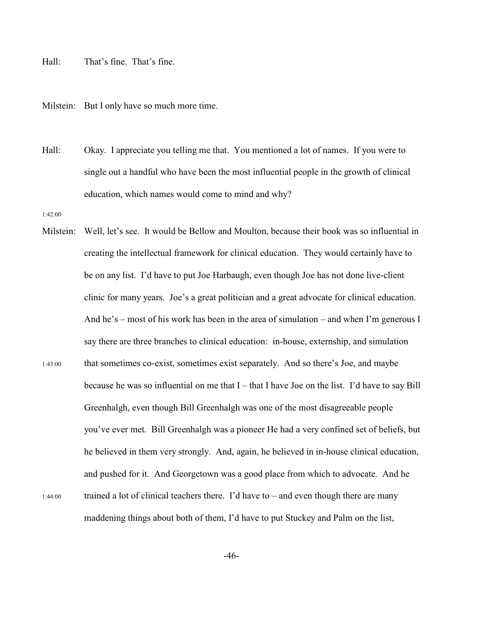Hall: That's fine. That's fine.

Milstein: But I only have so much more time.

Hall: Okay. I appreciate you telling me that. You mentioned a lot of names. If you were to single out a handful who have been the most influential people in the growth of clinical education, which names would come to mind and why?

1:42:00

Milstein: Well, let's see. It would be Bellow and Moulton, because their book was so influential in creating the intellectual framework for clinical education. They would certainly have to be on any list. I'd have to put Joe Harbaugh, even though Joe has not done live-client clinic for many years. Joe's a great politician and a great advocate for clinical education. And he's – most of his work has been in the area of simulation – and when I'm generous I say there are three branches to clinical education: in-house, externship, and simulation 1:43:00 that sometimes co-exist, sometimes exist separately. And so there's Joe, and maybe because he was so influential on me that I – that I have Joe on the list. I'd have to say Bill Greenhalgh, even though Bill Greenhalgh was one of the most disagreeable people you've ever met. Bill Greenhalgh was a pioneer He had a very confined set of beliefs, but he believed in them very strongly. And, again, he believed in in-house clinical education, and pushed for it. And Georgetown was a good place from which to advocate. And he  $1:44:00$  trained a lot of clinical teachers there. I'd have to – and even though there are many maddening things about both of them, I'd have to put Stuckey and Palm on the list,

-46-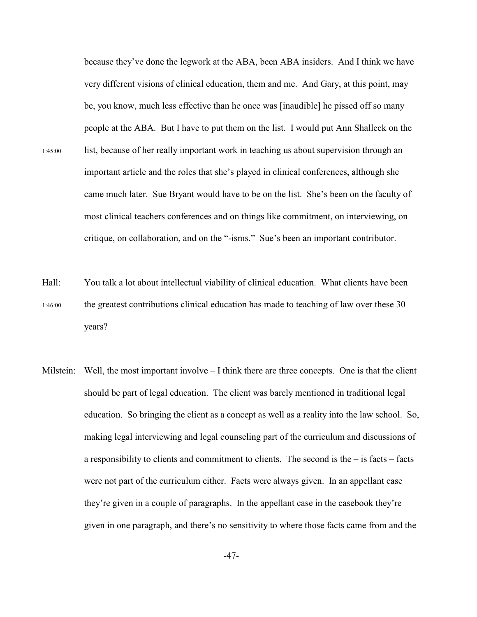because they've done the legwork at the ABA, been ABA insiders. And I think we have very different visions of clinical education, them and me. And Gary, at this point, may be, you know, much less effective than he once was [inaudible] he pissed off so many people at the ABA. But I have to put them on the list. I would put Ann Shalleck on the 1:45:00 list, because of her really important work in teaching us about supervision through an important article and the roles that she's played in clinical conferences, although she came much later. Sue Bryant would have to be on the list. She's been on the faculty of most clinical teachers conferences and on things like commitment, on interviewing, on critique, on collaboration, and on the "-isms." Sue's been an important contributor.

Hall: You talk a lot about intellectual viability of clinical education. What clients have been 1:46:00 the greatest contributions clinical education has made to teaching of law over these 30 years?

Milstein: Well, the most important involve  $-I$  think there are three concepts. One is that the client should be part of legal education. The client was barely mentioned in traditional legal education. So bringing the client as a concept as well as a reality into the law school. So, making legal interviewing and legal counseling part of the curriculum and discussions of a responsibility to clients and commitment to clients. The second is the  $-$  is facts  $-$  facts were not part of the curriculum either. Facts were always given. In an appellant case they're given in a couple of paragraphs. In the appellant case in the casebook they're given in one paragraph, and there's no sensitivity to where those facts came from and the

-47-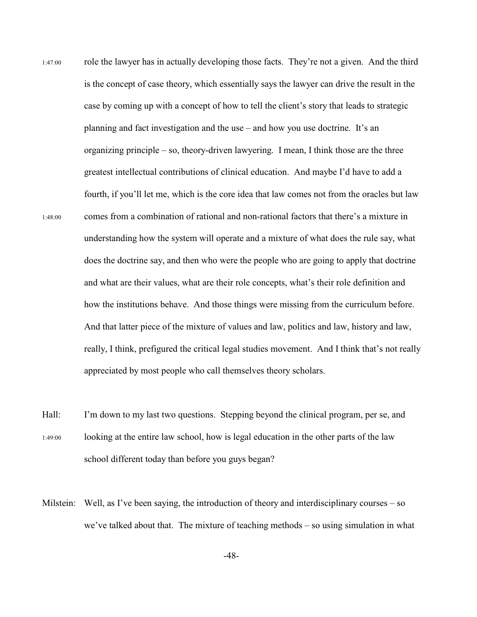- 1:47:00 role the lawyer has in actually developing those facts. They're not a given. And the third is the concept of case theory, which essentially says the lawyer can drive the result in the case by coming up with a concept of how to tell the client's story that leads to strategic planning and fact investigation and the use – and how you use doctrine. It's an organizing principle – so, theory-driven lawyering. I mean, I think those are the three greatest intellectual contributions of clinical education. And maybe I'd have to add a fourth, if you'll let me, which is the core idea that law comes not from the oracles but law 1:48:00 comes from a combination of rational and non-rational factors that there's a mixture in understanding how the system will operate and a mixture of what does the rule say, what does the doctrine say, and then who were the people who are going to apply that doctrine and what are their values, what are their role concepts, what's their role definition and how the institutions behave. And those things were missing from the curriculum before. And that latter piece of the mixture of values and law, politics and law, history and law, really, I think, prefigured the critical legal studies movement. And I think that's not really appreciated by most people who call themselves theory scholars.
- Hall: I'm down to my last two questions. Stepping beyond the clinical program, per se, and 1:49:00 looking at the entire law school, how is legal education in the other parts of the law school different today than before you guys began?
- Milstein: Well, as I've been saying, the introduction of theory and interdisciplinary courses so we've talked about that. The mixture of teaching methods – so using simulation in what

-48-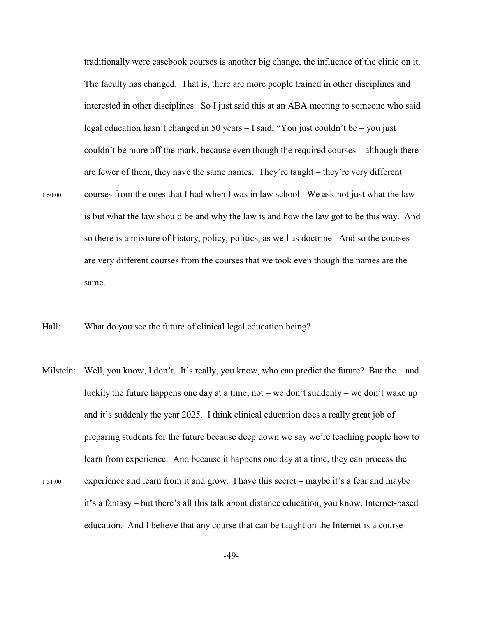traditionally were casebook courses is another big change, the influence of the clinic on it. The faculty has changed. That is, there are more people trained in other disciplines and interested in other disciplines. So I just said this at an ABA meeting to someone who said legal education hasn't changed in 50 years – I said, "You just couldn't be – you just couldn't be more off the mark, because even though the required courses – although there are fewer of them, they have the same names. They're taught – they're very different 1:50:00 courses from the ones that I had when I was in law school. We ask not just what the law is but what the law should be and why the law is and how the law got to be this way. And so there is a mixture of history, policy, politics, as well as doctrine. And so the courses are very different courses from the courses that we took even though the names are the same.

Hall: What do you see the future of clinical legal education being?

Milstein: Well, you know, I don't. It's really, you know, who can predict the future? But the – and luckily the future happens one day at a time, not – we don't suddenly – we don't wake up and it's suddenly the year 2025. I think clinical education does a really great job of preparing students for the future because deep down we say we're teaching people how to learn from experience. And because it happens one day at a time, they can process the 1:51:00 experience and learn from it and grow. I have this secret – maybe it's a fear and maybe it's a fantasy – but there's all this talk about distance education, you know, Internet-based education. And I believe that any course that can be taught on the Internet is a course

-49-